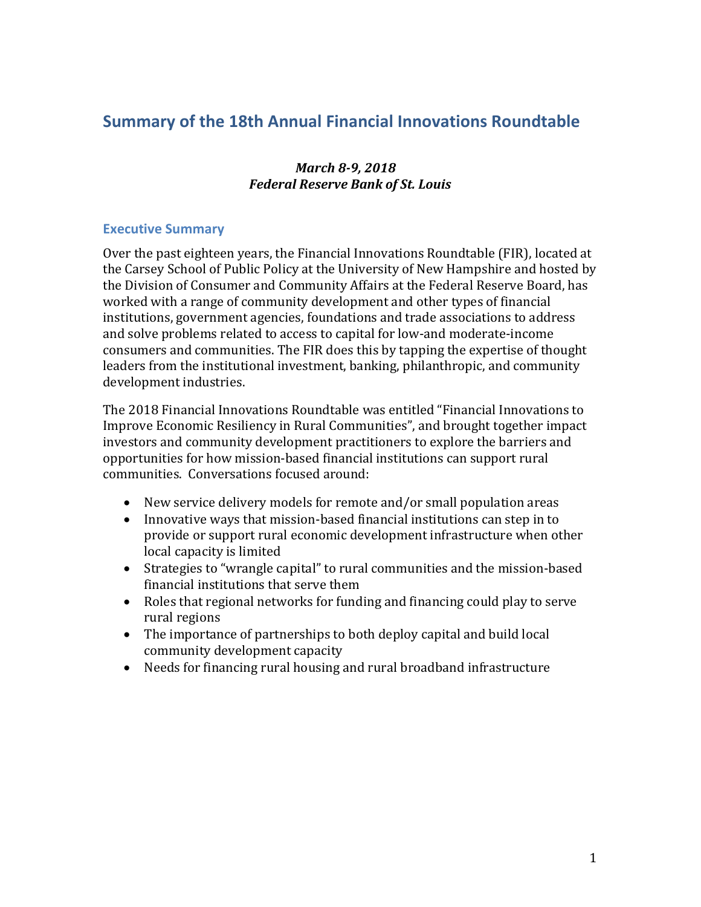# **Summary of the 18th Annual Financial Innovations Roundtable**

### *March 8-9, 2018 Federal Reserve Bank of St. Louis*

### <span id="page-0-0"></span>**Executive Summary**

Over the past eighteen years, the Financial Innovations Roundtable (FIR), located at the Carsey School of Public Policy at the University of New Hampshire and hosted by the Division of Consumer and Community Affairs at the Federal Reserve Board, has worked with a range of community development and other types of financial institutions, government agencies, foundations and trade associations to address and solve problems related to access to capital for low-and moderate-income consumers and communities. The FIR does this by tapping the expertise of thought leaders from the institutional investment, banking, philanthropic, and community development industries.

The 2018 Financial Innovations Roundtable was entitled "Financial Innovations to Improve Economic Resiliency in Rural Communities", and brought together impact investors and community development practitioners to explore the barriers and opportunities for how mission-based financial institutions can support rural communities. Conversations focused around:

- New service delivery models for remote and/or small population areas
- Innovative ways that mission-based financial institutions can step in to provide or support rural economic development infrastructure when other local capacity is limited
- Strategies to "wrangle capital" to rural communities and the mission-based financial institutions that serve them
- Roles that regional networks for funding and financing could play to serve rural regions
- The importance of partnerships to both deploy capital and build local community development capacity
- Needs for financing rural housing and rural broadband infrastructure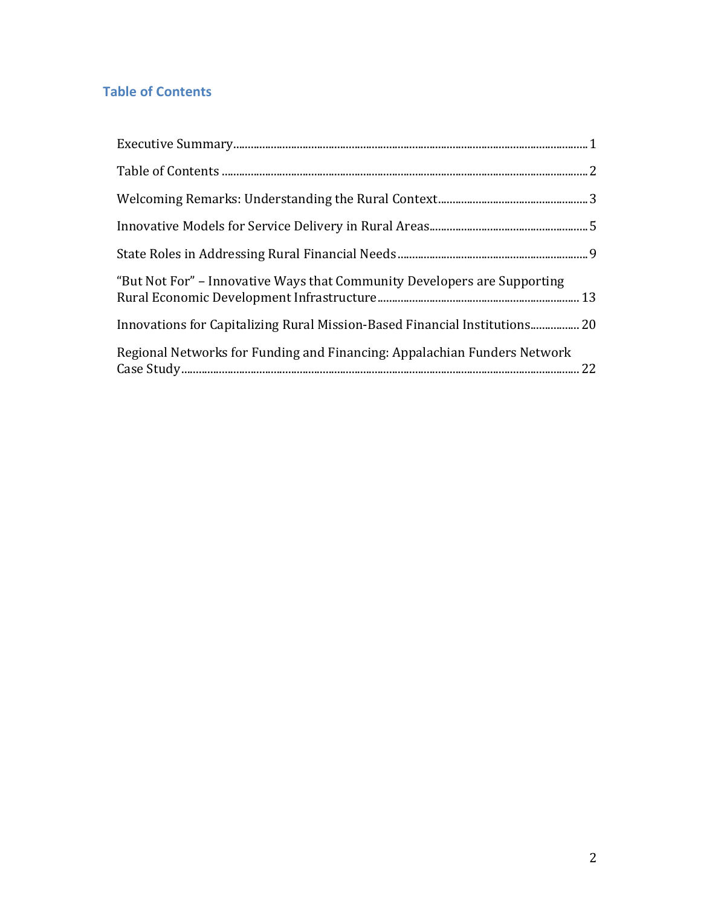## <span id="page-1-0"></span>**Table of Contents**

| "But Not For" – Innovative Ways that Community Developers are Supporting   |  |
|----------------------------------------------------------------------------|--|
| Innovations for Capitalizing Rural Mission-Based Financial Institutions 20 |  |
| Regional Networks for Funding and Financing: Appalachian Funders Network   |  |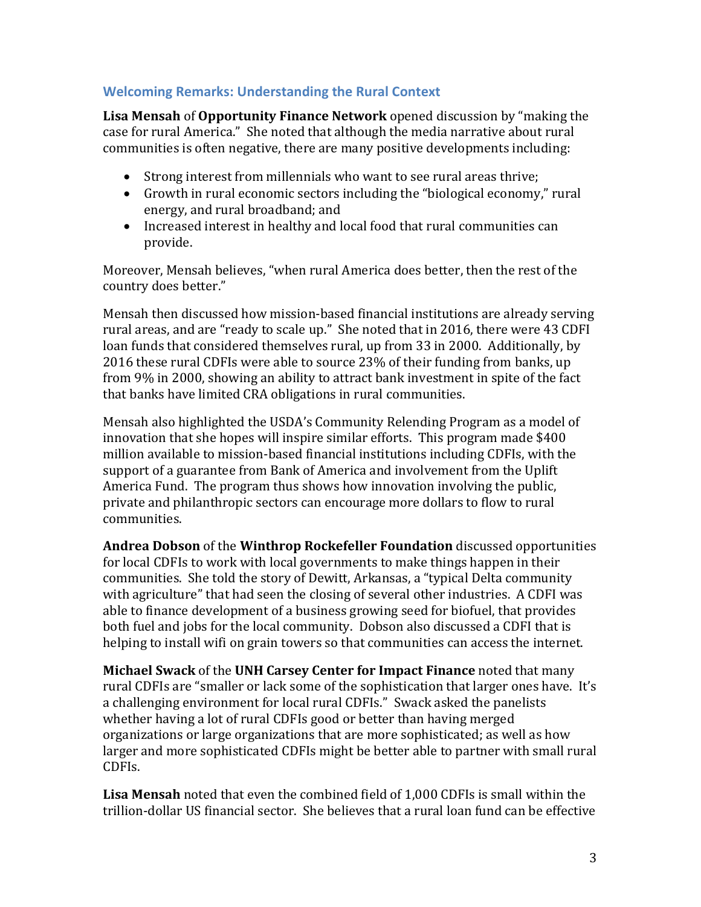### <span id="page-2-0"></span>**Welcoming Remarks: Understanding the Rural Context**

**Lisa Mensah** of **Opportunity Finance Network** opened discussion by "making the case for rural America." She noted that although the media narrative about rural communities is often negative, there are many positive developments including:

- Strong interest from millennials who want to see rural areas thrive;
- Growth in rural economic sectors including the "biological economy," rural energy, and rural broadband; and
- Increased interest in healthy and local food that rural communities can provide.

Moreover, Mensah believes, "when rural America does better, then the rest of the country does better."

Mensah then discussed how mission-based financial institutions are already serving rural areas, and are "ready to scale up." She noted that in 2016, there were 43 CDFI loan funds that considered themselves rural, up from 33 in 2000. Additionally, by 2016 these rural CDFIs were able to source 23% of their funding from banks, up from 9% in 2000, showing an ability to attract bank investment in spite of the fact that banks have limited CRA obligations in rural communities.

Mensah also highlighted the USDA's Community Relending Program as a model of innovation that she hopes will inspire similar efforts. This program made \$400 million available to mission-based financial institutions including CDFIs, with the support of a guarantee from Bank of America and involvement from the Uplift America Fund. The program thus shows how innovation involving the public, private and philanthropic sectors can encourage more dollars to flow to rural communities.

**Andrea Dobson** of the **Winthrop Rockefeller Foundation** discussed opportunities for local CDFIs to work with local governments to make things happen in their communities. She told the story of Dewitt, Arkansas, a "typical Delta community with agriculture" that had seen the closing of several other industries. A CDFI was able to finance development of a business growing seed for biofuel, that provides both fuel and jobs for the local community. Dobson also discussed a CDFI that is helping to install wifi on grain towers so that communities can access the internet.

**Michael Swack** of the **UNH Carsey Center for Impact Finance** noted that many rural CDFIs are "smaller or lack some of the sophistication that larger ones have. It's a challenging environment for local rural CDFIs." Swack asked the panelists whether having a lot of rural CDFIs good or better than having merged organizations or large organizations that are more sophisticated; as well as how larger and more sophisticated CDFIs might be better able to partner with small rural CDFIs.

**Lisa Mensah** noted that even the combined field of 1,000 CDFIs is small within the trillion-dollar US financial sector. She believes that a rural loan fund can be effective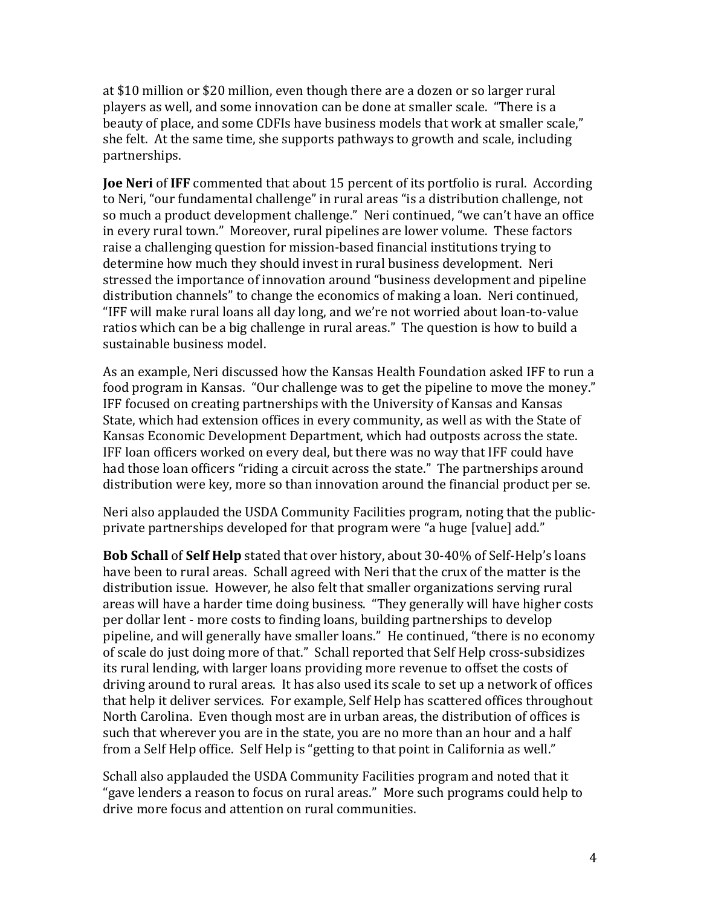at \$10 million or \$20 million, even though there are a dozen or so larger rural players as well, and some innovation can be done at smaller scale. "There is a beauty of place, and some CDFIs have business models that work at smaller scale," she felt. At the same time, she supports pathways to growth and scale, including partnerships.

**Joe Neri** of **IFF** commented that about 15 percent of its portfolio is rural. According to Neri, "our fundamental challenge" in rural areas "is a distribution challenge, not so much a product development challenge." Neri continued, "we can't have an office in every rural town." Moreover, rural pipelines are lower volume. These factors raise a challenging question for mission-based financial institutions trying to determine how much they should invest in rural business development. Neri stressed the importance of innovation around "business development and pipeline distribution channels" to change the economics of making a loan. Neri continued, "IFF will make rural loans all day long, and we're not worried about loan-to-value ratios which can be a big challenge in rural areas." The question is how to build a sustainable business model.

As an example, Neri discussed how the Kansas Health Foundation asked IFF to run a food program in Kansas. "Our challenge was to get the pipeline to move the money." IFF focused on creating partnerships with the University of Kansas and Kansas State, which had extension offices in every community, as well as with the State of Kansas Economic Development Department, which had outposts across the state. IFF loan officers worked on every deal, but there was no way that IFF could have had those loan officers "riding a circuit across the state." The partnerships around distribution were key, more so than innovation around the financial product per se.

Neri also applauded the USDA Community Facilities program, noting that the publicprivate partnerships developed for that program were "a huge [value] add."

**Bob Schall** of **Self Help** stated that over history, about 30-40% of Self-Help's loans have been to rural areas. Schall agreed with Neri that the crux of the matter is the distribution issue. However, he also felt that smaller organizations serving rural areas will have a harder time doing business. "They generally will have higher costs per dollar lent - more costs to finding loans, building partnerships to develop pipeline, and will generally have smaller loans." He continued, "there is no economy of scale do just doing more of that." Schall reported that Self Help cross-subsidizes its rural lending, with larger loans providing more revenue to offset the costs of driving around to rural areas. It has also used its scale to set up a network of offices that help it deliver services. For example, Self Help has scattered offices throughout North Carolina. Even though most are in urban areas, the distribution of offices is such that wherever you are in the state, you are no more than an hour and a half from a Self Help office. Self Help is "getting to that point in California as well."

Schall also applauded the USDA Community Facilities program and noted that it "gave lenders a reason to focus on rural areas." More such programs could help to drive more focus and attention on rural communities.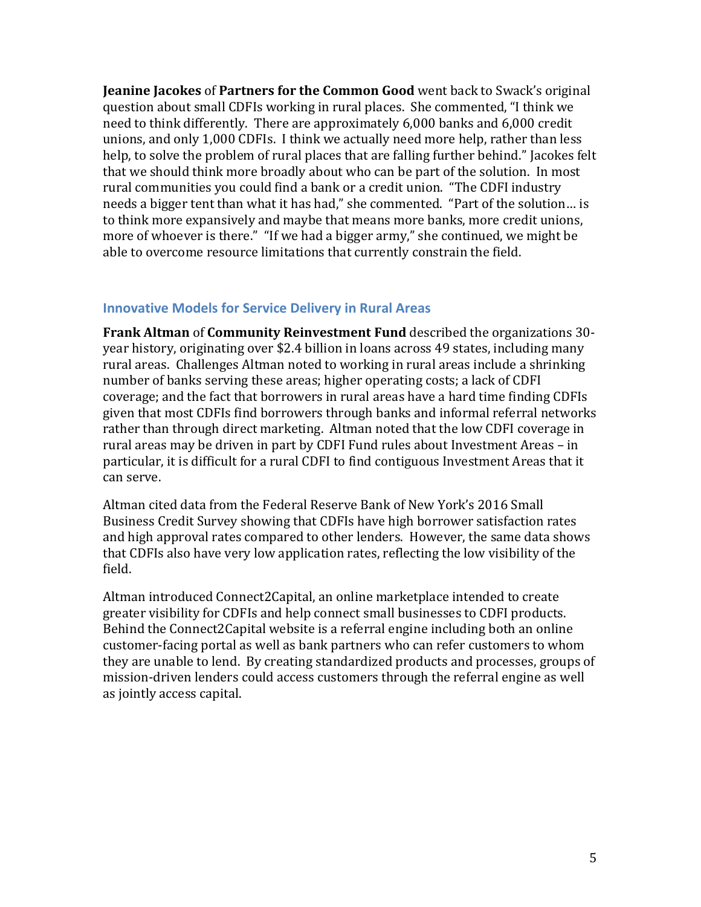**Jeanine Jacokes** of **Partners for the Common Good** went back to Swack's original question about small CDFIs working in rural places. She commented, "I think we need to think differently. There are approximately 6,000 banks and 6,000 credit unions, and only 1,000 CDFIs. I think we actually need more help, rather than less help, to solve the problem of rural places that are falling further behind." Jacokes felt that we should think more broadly about who can be part of the solution. In most rural communities you could find a bank or a credit union. "The CDFI industry needs a bigger tent than what it has had," she commented. "Part of the solution… is to think more expansively and maybe that means more banks, more credit unions, more of whoever is there." "If we had a bigger army," she continued, we might be able to overcome resource limitations that currently constrain the field.

#### <span id="page-4-0"></span>**Innovative Models for Service Delivery in Rural Areas**

**Frank Altman** of **Community Reinvestment Fund** described the organizations 30 year history, originating over \$2.4 billion in loans across 49 states, including many rural areas. Challenges Altman noted to working in rural areas include a shrinking number of banks serving these areas; higher operating costs; a lack of CDFI coverage; and the fact that borrowers in rural areas have a hard time finding CDFIs given that most CDFIs find borrowers through banks and informal referral networks rather than through direct marketing. Altman noted that the low CDFI coverage in rural areas may be driven in part by CDFI Fund rules about Investment Areas – in particular, it is difficult for a rural CDFI to find contiguous Investment Areas that it can serve.

Altman cited data from the Federal Reserve Bank of New York's 2016 Small Business Credit Survey showing that CDFIs have high borrower satisfaction rates and high approval rates compared to other lenders. However, the same data shows that CDFIs also have very low application rates, reflecting the low visibility of the field.

Altman introduced Connect2Capital, an online marketplace intended to create greater visibility for CDFIs and help connect small businesses to CDFI products. Behind the Connect2Capital website is a referral engine including both an online customer-facing portal as well as bank partners who can refer customers to whom they are unable to lend. By creating standardized products and processes, groups of mission-driven lenders could access customers through the referral engine as well as jointly access capital.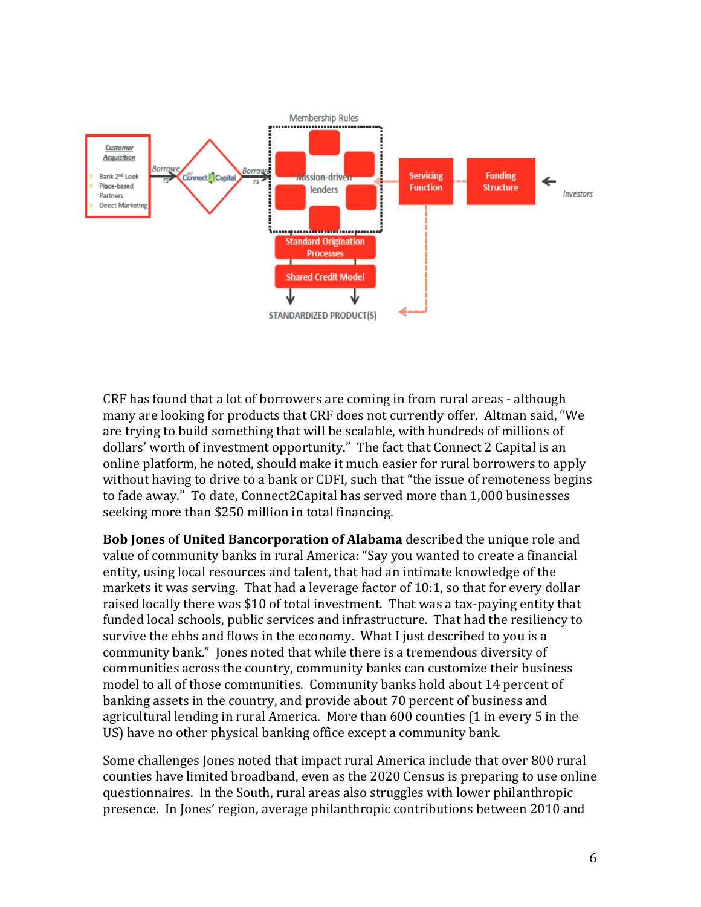

CRF has found that a lot of borrowers are coming in from rural areas - although many are looking for products that CRF does not currently offer. Altman said, "We are trying to build something that will be scalable, with hundreds of millions of dollars' worth of investment opportunity." The fact that Connect 2 Capital is an online platform, he noted, should make it much easier for rural borrowers to apply without having to drive to a bank or CDFI, such that "the issue of remoteness begins to fade away." To date, Connect2Capital has served more than 1,000 businesses seeking more than \$250 million in total financing.

**Bob Jones** of **United Bancorporation of Alabama** described the unique role and value of community banks in rural America: "Say you wanted to create a financial entity, using local resources and talent, that had an intimate knowledge of the markets it was serving. That had a leverage factor of 10:1, so that for every dollar raised locally there was \$10 of total investment. That was a tax-paying entity that funded local schools, public services and infrastructure. That had the resiliency to survive the ebbs and flows in the economy. What I just described to you is a community bank." Jones noted that while there is a tremendous diversity of communities across the country, community banks can customize their business model to all of those communities. Community banks hold about 14 percent of banking assets in the country, and provide about 70 percent of business and agricultural lending in rural America. More than 600 counties (1 in every 5 in the US) have no other physical banking office except a community bank.

Some challenges Jones noted that impact rural America include that over 800 rural counties have limited broadband, even as the 2020 Census is preparing to use online questionnaires. In the South, rural areas also struggles with lower philanthropic presence. In Jones' region, average philanthropic contributions between 2010 and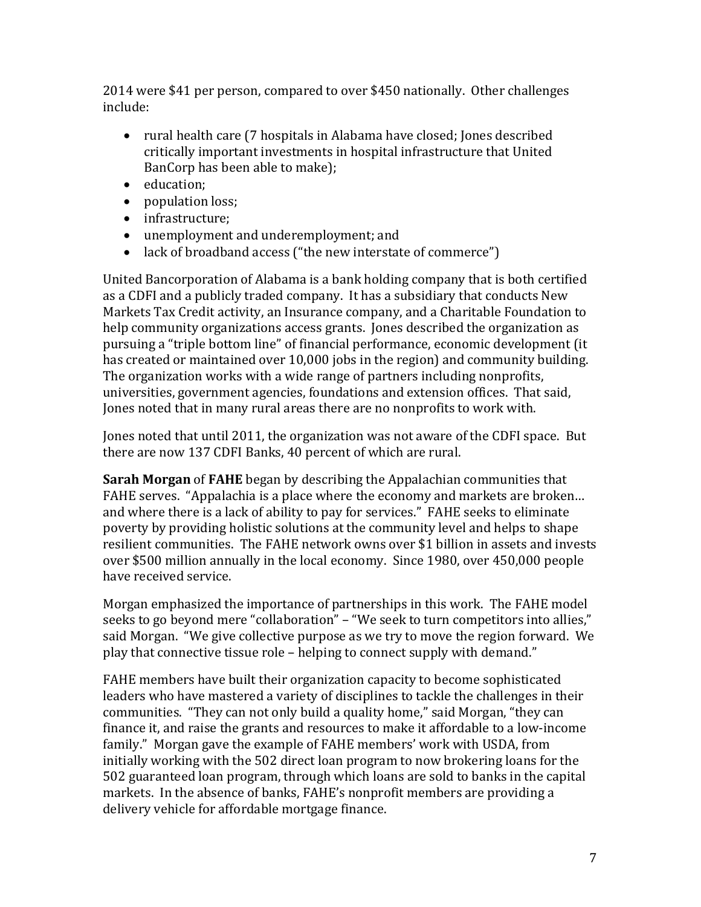2014 were \$41 per person, compared to over \$450 nationally. Other challenges include:

- rural health care (7 hospitals in Alabama have closed; Jones described critically important investments in hospital infrastructure that United BanCorp has been able to make);
- education;
- population loss;
- infrastructure;
- unemployment and underemployment; and
- lack of broadband access ("the new interstate of commerce")

United Bancorporation of Alabama is a bank holding company that is both certified as a CDFI and a publicly traded company. It has a subsidiary that conducts New Markets Tax Credit activity, an Insurance company, and a Charitable Foundation to help community organizations access grants. Jones described the organization as pursuing a "triple bottom line" of financial performance, economic development (it has created or maintained over 10,000 jobs in the region) and community building. The organization works with a wide range of partners including nonprofits, universities, government agencies, foundations and extension offices. That said, Jones noted that in many rural areas there are no nonprofits to work with.

Jones noted that until 2011, the organization was not aware of the CDFI space. But there are now 137 CDFI Banks, 40 percent of which are rural.

**Sarah Morgan** of **FAHE** began by describing the Appalachian communities that FAHE serves. "Appalachia is a place where the economy and markets are broken… and where there is a lack of ability to pay for services." FAHE seeks to eliminate poverty by providing holistic solutions at the community level and helps to shape resilient communities. The FAHE network owns over \$1 billion in assets and invests over \$500 million annually in the local economy. Since 1980, over 450,000 people have received service.

Morgan emphasized the importance of partnerships in this work. The FAHE model seeks to go beyond mere "collaboration" – "We seek to turn competitors into allies," said Morgan. "We give collective purpose as we try to move the region forward. We play that connective tissue role – helping to connect supply with demand."

FAHE members have built their organization capacity to become sophisticated leaders who have mastered a variety of disciplines to tackle the challenges in their communities. "They can not only build a quality home," said Morgan, "they can finance it, and raise the grants and resources to make it affordable to a low-income family." Morgan gave the example of FAHE members' work with USDA, from initially working with the 502 direct loan program to now brokering loans for the 502 guaranteed loan program, through which loans are sold to banks in the capital markets. In the absence of banks, FAHE's nonprofit members are providing a delivery vehicle for affordable mortgage finance.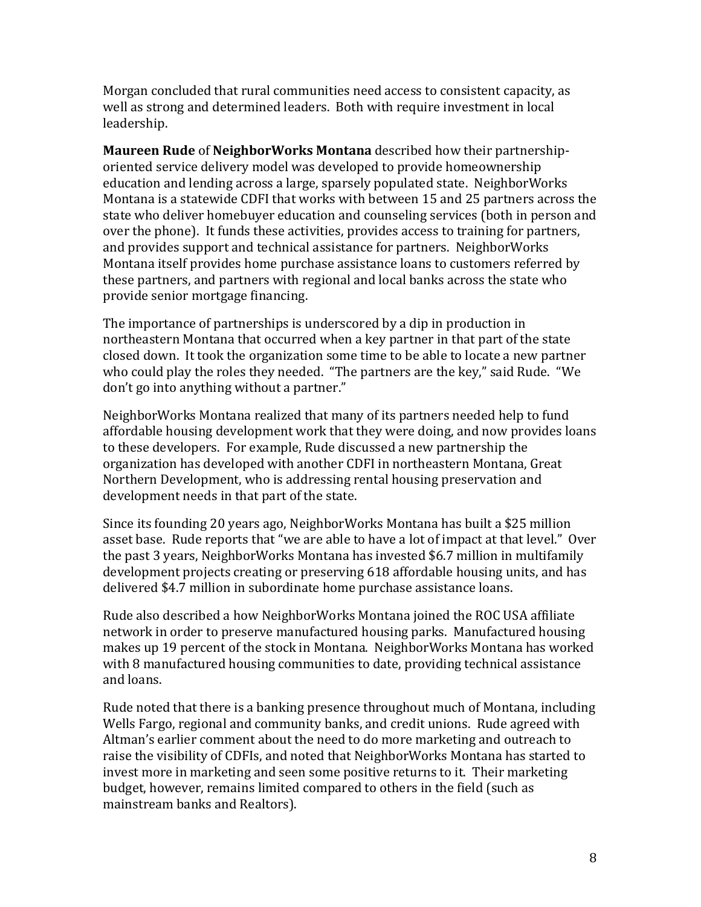Morgan concluded that rural communities need access to consistent capacity, as well as strong and determined leaders. Both with require investment in local leadership.

**Maureen Rude** of **NeighborWorks Montana** described how their partnershiporiented service delivery model was developed to provide homeownership education and lending across a large, sparsely populated state. NeighborWorks Montana is a statewide CDFI that works with between 15 and 25 partners across the state who deliver homebuyer education and counseling services (both in person and over the phone). It funds these activities, provides access to training for partners, and provides support and technical assistance for partners. NeighborWorks Montana itself provides home purchase assistance loans to customers referred by these partners, and partners with regional and local banks across the state who provide senior mortgage financing.

The importance of partnerships is underscored by a dip in production in northeastern Montana that occurred when a key partner in that part of the state closed down. It took the organization some time to be able to locate a new partner who could play the roles they needed. "The partners are the key," said Rude. "We don't go into anything without a partner."

NeighborWorks Montana realized that many of its partners needed help to fund affordable housing development work that they were doing, and now provides loans to these developers. For example, Rude discussed a new partnership the organization has developed with another CDFI in northeastern Montana, Great Northern Development, who is addressing rental housing preservation and development needs in that part of the state.

Since its founding 20 years ago, NeighborWorks Montana has built a \$25 million asset base. Rude reports that "we are able to have a lot of impact at that level." Over the past 3 years, NeighborWorks Montana has invested \$6.7 million in multifamily development projects creating or preserving 618 affordable housing units, and has delivered \$4.7 million in subordinate home purchase assistance loans.

Rude also described a how NeighborWorks Montana joined the ROC USA affiliate network in order to preserve manufactured housing parks. Manufactured housing makes up 19 percent of the stock in Montana. NeighborWorks Montana has worked with 8 manufactured housing communities to date, providing technical assistance and loans.

Rude noted that there is a banking presence throughout much of Montana, including Wells Fargo, regional and community banks, and credit unions. Rude agreed with Altman's earlier comment about the need to do more marketing and outreach to raise the visibility of CDFIs, and noted that NeighborWorks Montana has started to invest more in marketing and seen some positive returns to it. Their marketing budget, however, remains limited compared to others in the field (such as mainstream banks and Realtors).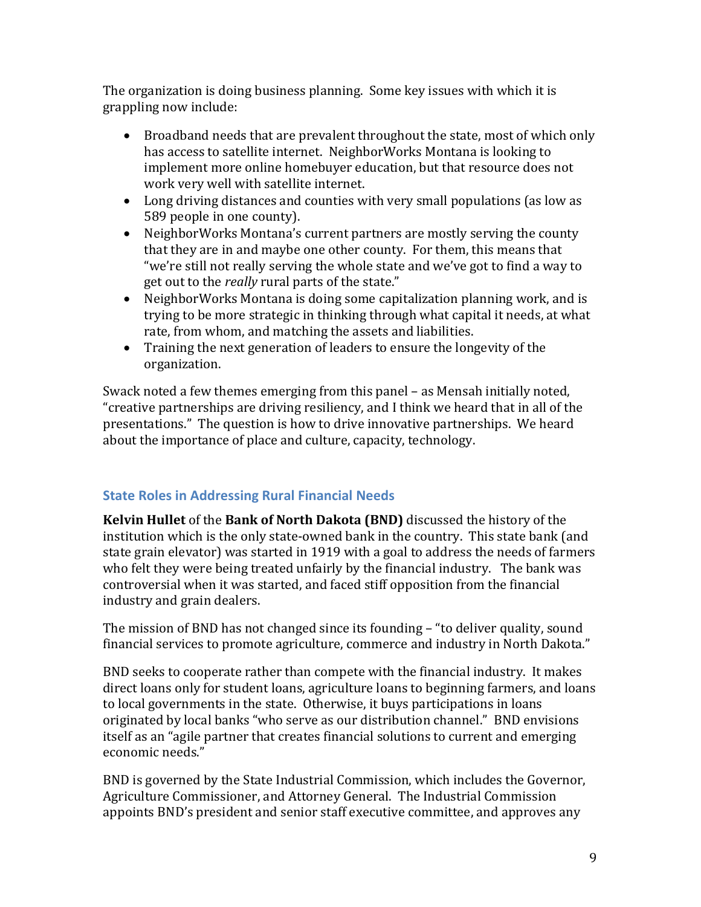The organization is doing business planning. Some key issues with which it is grappling now include:

- Broadband needs that are prevalent throughout the state, most of which only has access to satellite internet. NeighborWorks Montana is looking to implement more online homebuyer education, but that resource does not work very well with satellite internet.
- Long driving distances and counties with very small populations (as low as 589 people in one county).
- NeighborWorks Montana's current partners are mostly serving the county that they are in and maybe one other county. For them, this means that "we're still not really serving the whole state and we've got to find a way to get out to the *really* rural parts of the state."
- NeighborWorks Montana is doing some capitalization planning work, and is trying to be more strategic in thinking through what capital it needs, at what rate, from whom, and matching the assets and liabilities.
- Training the next generation of leaders to ensure the longevity of the organization.

Swack noted a few themes emerging from this panel – as Mensah initially noted, "creative partnerships are driving resiliency, and I think we heard that in all of the presentations." The question is how to drive innovative partnerships. We heard about the importance of place and culture, capacity, technology.

### <span id="page-8-0"></span>**State Roles in Addressing Rural Financial Needs**

**Kelvin Hullet** of the **Bank of North Dakota (BND)** discussed the history of the institution which is the only state-owned bank in the country. This state bank (and state grain elevator) was started in 1919 with a goal to address the needs of farmers who felt they were being treated unfairly by the financial industry. The bank was controversial when it was started, and faced stiff opposition from the financial industry and grain dealers.

The mission of BND has not changed since its founding – "to deliver quality, sound financial services to promote agriculture, commerce and industry in North Dakota."

BND seeks to cooperate rather than compete with the financial industry. It makes direct loans only for student loans, agriculture loans to beginning farmers, and loans to local governments in the state. Otherwise, it buys participations in loans originated by local banks "who serve as our distribution channel." BND envisions itself as an "agile partner that creates financial solutions to current and emerging economic needs."

BND is governed by the State Industrial Commission, which includes the Governor, Agriculture Commissioner, and Attorney General. The Industrial Commission appoints BND's president and senior staff executive committee, and approves any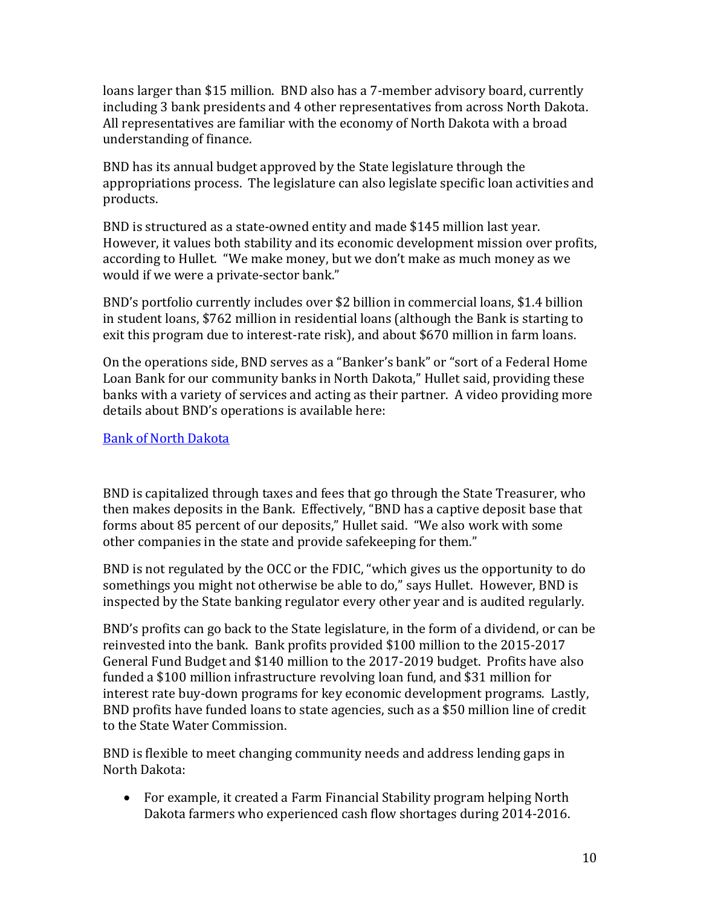loans larger than \$15 million. BND also has a 7-member advisory board, currently including 3 bank presidents and 4 other representatives from across North Dakota. All representatives are familiar with the economy of North Dakota with a broad understanding of finance.

BND has its annual budget approved by the State legislature through the appropriations process. The legislature can also legislate specific loan activities and products.

BND is structured as a state-owned entity and made \$145 million last year. However, it values both stability and its economic development mission over profits, according to Hullet. "We make money, but we don't make as much money as we would if we were a private-sector bank."

BND's portfolio currently includes over \$2 billion in commercial loans, \$1.4 billion in student loans, \$762 million in residential loans (although the Bank is starting to exit this program due to interest-rate risk), and about \$670 million in farm loans.

On the operations side, BND serves as a "Banker's bank" or "sort of a Federal Home Loan Bank for our community banks in North Dakota," Hullet said, providing these banks with a variety of services and acting as their partner. A video providing more details about BND's operations is available here:

#### [Bank of North Dakota](https://unh.box.com/s/tubgosfh5rqi5d1gme1vhj4s33z242af)

BND is capitalized through taxes and fees that go through the State Treasurer, who then makes deposits in the Bank. Effectively, "BND has a captive deposit base that forms about 85 percent of our deposits," Hullet said. "We also work with some other companies in the state and provide safekeeping for them."

BND is not regulated by the OCC or the FDIC, "which gives us the opportunity to do somethings you might not otherwise be able to do," says Hullet. However, BND is inspected by the State banking regulator every other year and is audited regularly.

BND's profits can go back to the State legislature, in the form of a dividend, or can be reinvested into the bank. Bank profits provided \$100 million to the 2015-2017 General Fund Budget and \$140 million to the 2017-2019 budget. Profits have also funded a \$100 million infrastructure revolving loan fund, and \$31 million for interest rate buy-down programs for key economic development programs. Lastly, BND profits have funded loans to state agencies, such as a \$50 million line of credit to the State Water Commission.

BND is flexible to meet changing community needs and address lending gaps in North Dakota:

• For example, it created a Farm Financial Stability program helping North Dakota farmers who experienced cash flow shortages during 2014-2016.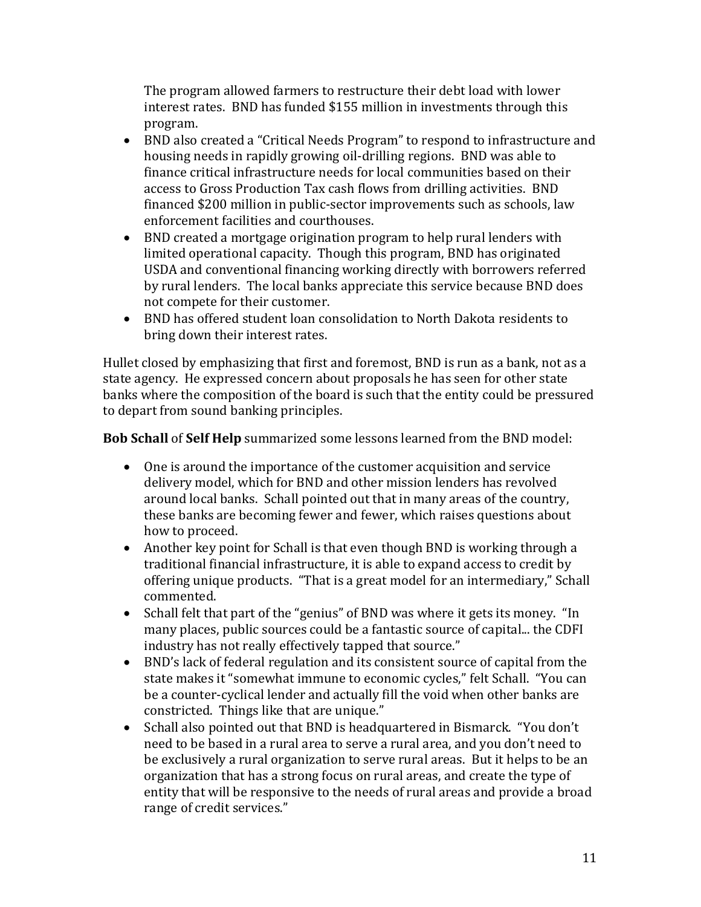The program allowed farmers to restructure their debt load with lower interest rates. BND has funded \$155 million in investments through this program.

- BND also created a "Critical Needs Program" to respond to infrastructure and housing needs in rapidly growing oil-drilling regions. BND was able to finance critical infrastructure needs for local communities based on their access to Gross Production Tax cash flows from drilling activities. BND financed \$200 million in public-sector improvements such as schools, law enforcement facilities and courthouses.
- BND created a mortgage origination program to help rural lenders with limited operational capacity. Though this program, BND has originated USDA and conventional financing working directly with borrowers referred by rural lenders. The local banks appreciate this service because BND does not compete for their customer.
- BND has offered student loan consolidation to North Dakota residents to bring down their interest rates.

Hullet closed by emphasizing that first and foremost, BND is run as a bank, not as a state agency. He expressed concern about proposals he has seen for other state banks where the composition of the board is such that the entity could be pressured to depart from sound banking principles.

**Bob Schall** of **Self Help** summarized some lessons learned from the BND model:

- One is around the importance of the customer acquisition and service delivery model, which for BND and other mission lenders has revolved around local banks. Schall pointed out that in many areas of the country, these banks are becoming fewer and fewer, which raises questions about how to proceed.
- Another key point for Schall is that even though BND is working through a traditional financial infrastructure, it is able to expand access to credit by offering unique products. "That is a great model for an intermediary," Schall commented.
- Schall felt that part of the "genius" of BND was where it gets its money. "In many places, public sources could be a fantastic source of capital... the CDFI industry has not really effectively tapped that source."
- BND's lack of federal regulation and its consistent source of capital from the state makes it "somewhat immune to economic cycles," felt Schall. "You can be a counter-cyclical lender and actually fill the void when other banks are constricted. Things like that are unique."
- Schall also pointed out that BND is headquartered in Bismarck. "You don't need to be based in a rural area to serve a rural area, and you don't need to be exclusively a rural organization to serve rural areas. But it helps to be an organization that has a strong focus on rural areas, and create the type of entity that will be responsive to the needs of rural areas and provide a broad range of credit services."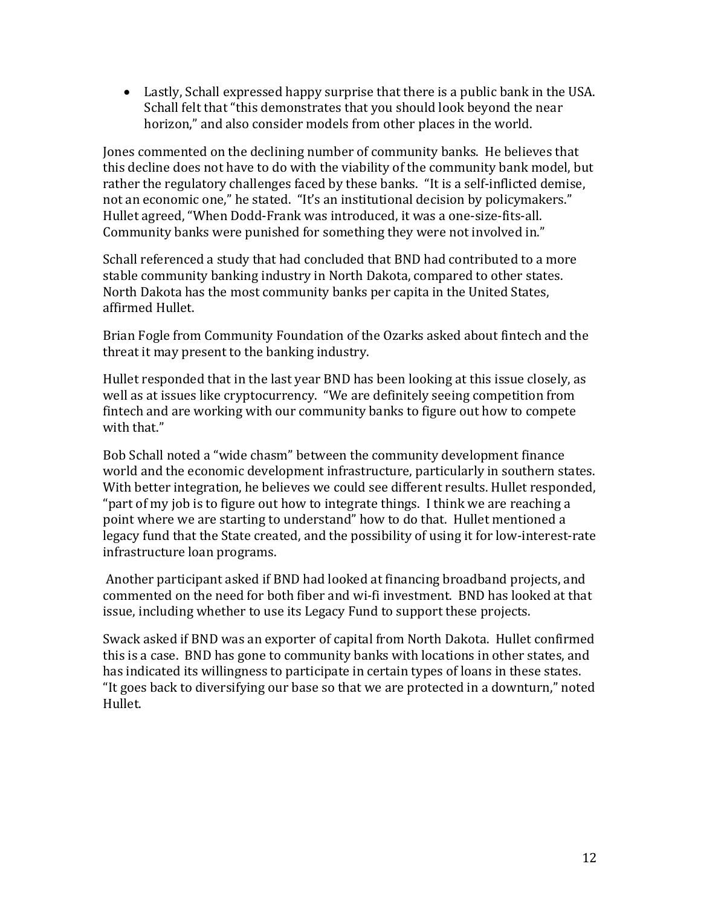• Lastly, Schall expressed happy surprise that there is a public bank in the USA. Schall felt that "this demonstrates that you should look beyond the near horizon," and also consider models from other places in the world.

Jones commented on the declining number of community banks. He believes that this decline does not have to do with the viability of the community bank model, but rather the regulatory challenges faced by these banks. "It is a self-inflicted demise, not an economic one," he stated. "It's an institutional decision by policymakers." Hullet agreed, "When Dodd-Frank was introduced, it was a one-size-fits-all. Community banks were punished for something they were not involved in."

Schall referenced a study that had concluded that BND had contributed to a more stable community banking industry in North Dakota, compared to other states. North Dakota has the most community banks per capita in the United States, affirmed Hullet.

Brian Fogle from Community Foundation of the Ozarks asked about fintech and the threat it may present to the banking industry.

Hullet responded that in the last year BND has been looking at this issue closely, as well as at issues like cryptocurrency. "We are definitely seeing competition from fintech and are working with our community banks to figure out how to compete with that."

Bob Schall noted a "wide chasm" between the community development finance world and the economic development infrastructure, particularly in southern states. With better integration, he believes we could see different results. Hullet responded, "part of my job is to figure out how to integrate things. I think we are reaching a point where we are starting to understand" how to do that. Hullet mentioned a legacy fund that the State created, and the possibility of using it for low-interest-rate infrastructure loan programs.

Another participant asked if BND had looked at financing broadband projects, and commented on the need for both fiber and wi-fi investment. BND has looked at that issue, including whether to use its Legacy Fund to support these projects.

Swack asked if BND was an exporter of capital from North Dakota. Hullet confirmed this is a case. BND has gone to community banks with locations in other states, and has indicated its willingness to participate in certain types of loans in these states. "It goes back to diversifying our base so that we are protected in a downturn," noted Hullet.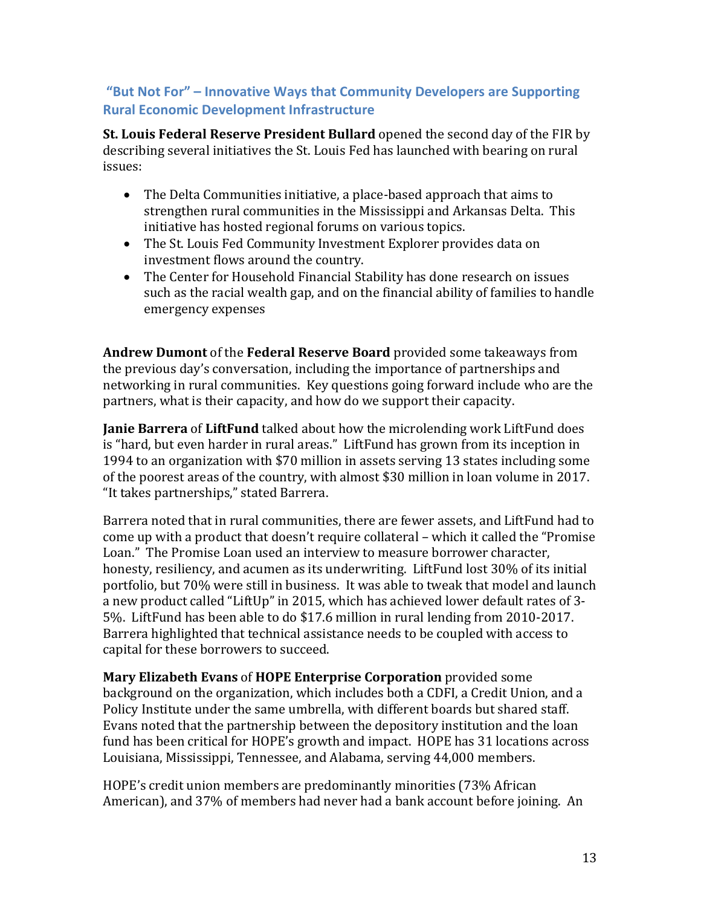### <span id="page-12-0"></span>**"But Not For" – Innovative Ways that Community Developers are Supporting Rural Economic Development Infrastructure**

**St. Louis Federal Reserve President Bullard** opened the second day of the FIR by describing several initiatives the St. Louis Fed has launched with bearing on rural issues:

- The Delta Communities initiative, a place-based approach that aims to strengthen rural communities in the Mississippi and Arkansas Delta. This initiative has hosted regional forums on various topics.
- The St. Louis Fed Community Investment Explorer provides data on investment flows around the country.
- The Center for Household Financial Stability has done research on issues such as the racial wealth gap, and on the financial ability of families to handle emergency expenses

**Andrew Dumont** of the **Federal Reserve Board** provided some takeaways from the previous day's conversation, including the importance of partnerships and networking in rural communities. Key questions going forward include who are the partners, what is their capacity, and how do we support their capacity.

**Janie Barrera** of **LiftFund** talked about how the microlending work LiftFund does is "hard, but even harder in rural areas." LiftFund has grown from its inception in 1994 to an organization with \$70 million in assets serving 13 states including some of the poorest areas of the country, with almost \$30 million in loan volume in 2017. "It takes partnerships," stated Barrera.

Barrera noted that in rural communities, there are fewer assets, and LiftFund had to come up with a product that doesn't require collateral – which it called the "Promise Loan." The Promise Loan used an interview to measure borrower character, honesty, resiliency, and acumen as its underwriting. LiftFund lost 30% of its initial portfolio, but 70% were still in business. It was able to tweak that model and launch a new product called "LiftUp" in 2015, which has achieved lower default rates of 3- 5%. LiftFund has been able to do \$17.6 million in rural lending from 2010-2017. Barrera highlighted that technical assistance needs to be coupled with access to capital for these borrowers to succeed.

**Mary Elizabeth Evans** of **HOPE Enterprise Corporation** provided some background on the organization, which includes both a CDFI, a Credit Union, and a Policy Institute under the same umbrella, with different boards but shared staff. Evans noted that the partnership between the depository institution and the loan fund has been critical for HOPE's growth and impact. HOPE has 31 locations across Louisiana, Mississippi, Tennessee, and Alabama, serving 44,000 members.

HOPE's credit union members are predominantly minorities (73% African American), and 37% of members had never had a bank account before joining. An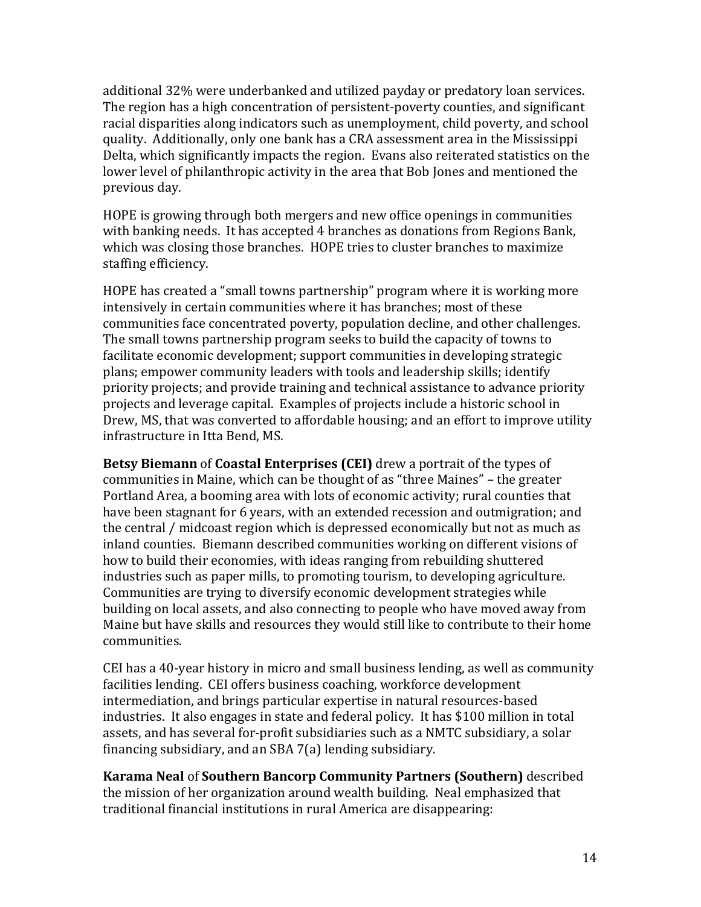additional 32% were underbanked and utilized payday or predatory loan services. The region has a high concentration of persistent-poverty counties, and significant racial disparities along indicators such as unemployment, child poverty, and school quality. Additionally, only one bank has a CRA assessment area in the Mississippi Delta, which significantly impacts the region. Evans also reiterated statistics on the lower level of philanthropic activity in the area that Bob Jones and mentioned the previous day.

HOPE is growing through both mergers and new office openings in communities with banking needs. It has accepted 4 branches as donations from Regions Bank, which was closing those branches. HOPE tries to cluster branches to maximize staffing efficiency.

HOPE has created a "small towns partnership" program where it is working more intensively in certain communities where it has branches; most of these communities face concentrated poverty, population decline, and other challenges. The small towns partnership program seeks to build the capacity of towns to facilitate economic development; support communities in developing strategic plans; empower community leaders with tools and leadership skills; identify priority projects; and provide training and technical assistance to advance priority projects and leverage capital. Examples of projects include a historic school in Drew, MS, that was converted to affordable housing; and an effort to improve utility infrastructure in Itta Bend, MS.

**Betsy Biemann** of **Coastal Enterprises (CEI)** drew a portrait of the types of communities in Maine, which can be thought of as "three Maines" – the greater Portland Area, a booming area with lots of economic activity; rural counties that have been stagnant for 6 years, with an extended recession and outmigration; and the central / midcoast region which is depressed economically but not as much as inland counties. Biemann described communities working on different visions of how to build their economies, with ideas ranging from rebuilding shuttered industries such as paper mills, to promoting tourism, to developing agriculture. Communities are trying to diversify economic development strategies while building on local assets, and also connecting to people who have moved away from Maine but have skills and resources they would still like to contribute to their home communities.

CEI has a 40-year history in micro and small business lending, as well as community facilities lending. CEI offers business coaching, workforce development intermediation, and brings particular expertise in natural resources-based industries. It also engages in state and federal policy. It has \$100 million in total assets, and has several for-profit subsidiaries such as a NMTC subsidiary, a solar financing subsidiary, and an SBA 7(a) lending subsidiary.

**Karama Neal** of **Southern Bancorp Community Partners (Southern)** described the mission of her organization around wealth building. Neal emphasized that traditional financial institutions in rural America are disappearing: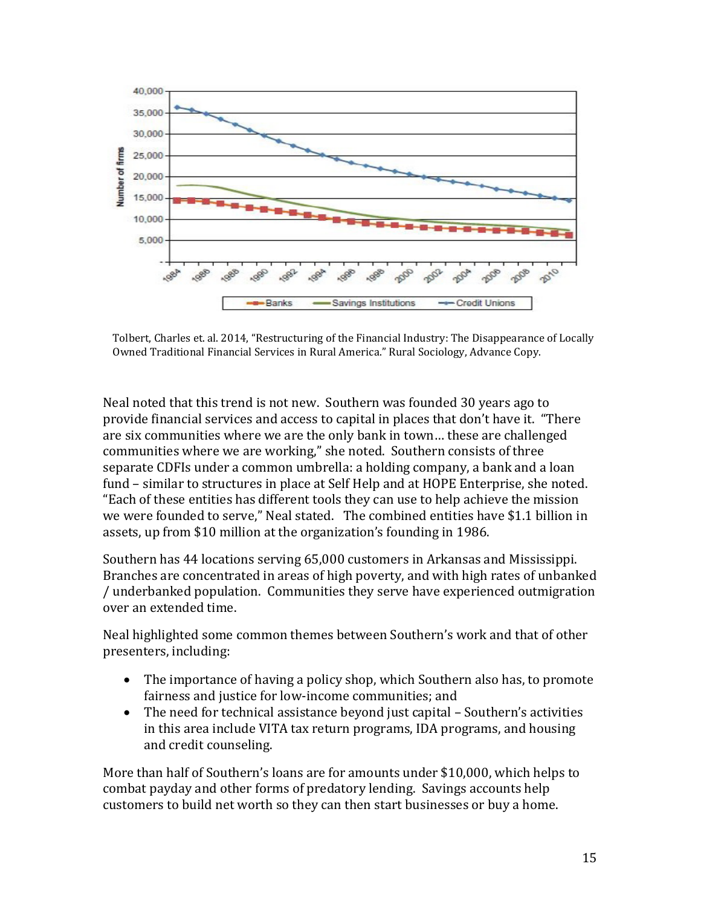

Tolbert, Charles et. al. 2014, "Restructuring of the Financial Industry: The Disappearance of Locally Owned Traditional Financial Services in Rural America." Rural Sociology, Advance Copy.

Neal noted that this trend is not new. Southern was founded 30 years ago to provide financial services and access to capital in places that don't have it. "There are six communities where we are the only bank in town… these are challenged communities where we are working," she noted. Southern consists of three separate CDFIs under a common umbrella: a holding company, a bank and a loan fund – similar to structures in place at Self Help and at HOPE Enterprise, she noted. "Each of these entities has different tools they can use to help achieve the mission we were founded to serve," Neal stated. The combined entities have \$1.1 billion in assets, up from \$10 million at the organization's founding in 1986.

Southern has 44 locations serving 65,000 customers in Arkansas and Mississippi. Branches are concentrated in areas of high poverty, and with high rates of unbanked / underbanked population. Communities they serve have experienced outmigration over an extended time.

Neal highlighted some common themes between Southern's work and that of other presenters, including:

- The importance of having a policy shop, which Southern also has, to promote fairness and justice for low-income communities; and
- The need for technical assistance beyond just capital Southern's activities in this area include VITA tax return programs, IDA programs, and housing and credit counseling.

More than half of Southern's loans are for amounts under \$10,000, which helps to combat payday and other forms of predatory lending. Savings accounts help customers to build net worth so they can then start businesses or buy a home.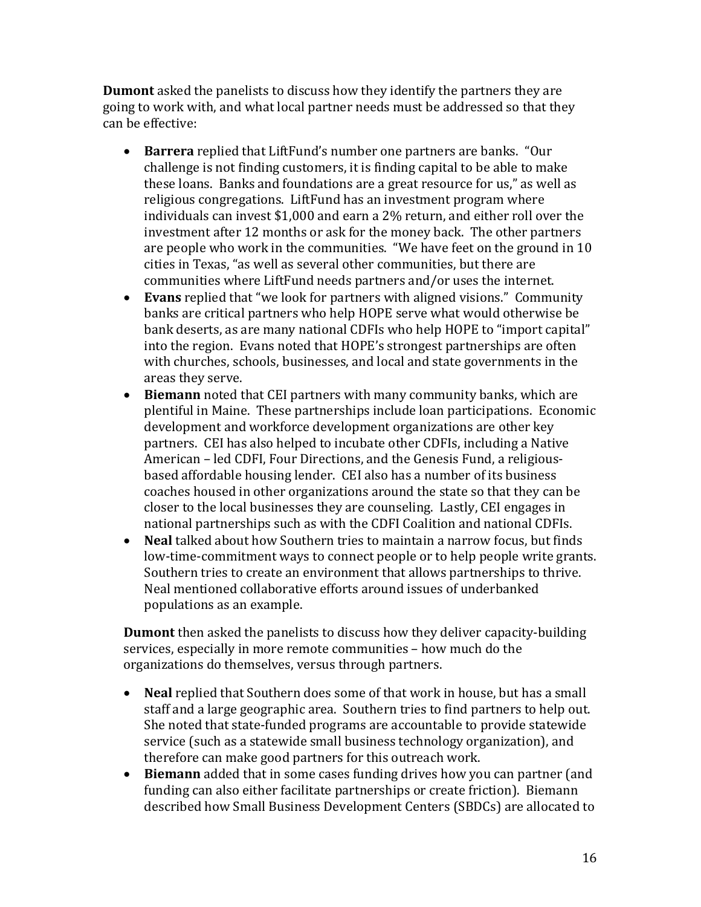**Dumont** asked the panelists to discuss how they identify the partners they are going to work with, and what local partner needs must be addressed so that they can be effective:

- **Barrera** replied that LiftFund's number one partners are banks. "Our challenge is not finding customers, it is finding capital to be able to make these loans. Banks and foundations are a great resource for us," as well as religious congregations. LiftFund has an investment program where individuals can invest \$1,000 and earn a 2% return, and either roll over the investment after 12 months or ask for the money back. The other partners are people who work in the communities. "We have feet on the ground in 10 cities in Texas, "as well as several other communities, but there are communities where LiftFund needs partners and/or uses the internet.
- **Evans** replied that "we look for partners with aligned visions." Community banks are critical partners who help HOPE serve what would otherwise be bank deserts, as are many national CDFIs who help HOPE to "import capital" into the region. Evans noted that HOPE's strongest partnerships are often with churches, schools, businesses, and local and state governments in the areas they serve.
- **Biemann** noted that CEI partners with many community banks, which are plentiful in Maine. These partnerships include loan participations. Economic development and workforce development organizations are other key partners. CEI has also helped to incubate other CDFIs, including a Native American – led CDFI, Four Directions, and the Genesis Fund, a religiousbased affordable housing lender. CEI also has a number of its business coaches housed in other organizations around the state so that they can be closer to the local businesses they are counseling. Lastly, CEI engages in national partnerships such as with the CDFI Coalition and national CDFIs.
- **Neal** talked about how Southern tries to maintain a narrow focus, but finds low-time-commitment ways to connect people or to help people write grants. Southern tries to create an environment that allows partnerships to thrive. Neal mentioned collaborative efforts around issues of underbanked populations as an example.

**Dumont** then asked the panelists to discuss how they deliver capacity-building services, especially in more remote communities – how much do the organizations do themselves, versus through partners.

- **Neal** replied that Southern does some of that work in house, but has a small staff and a large geographic area. Southern tries to find partners to help out. She noted that state-funded programs are accountable to provide statewide service (such as a statewide small business technology organization), and therefore can make good partners for this outreach work.
- **Biemann** added that in some cases funding drives how you can partner (and funding can also either facilitate partnerships or create friction). Biemann described how Small Business Development Centers (SBDCs) are allocated to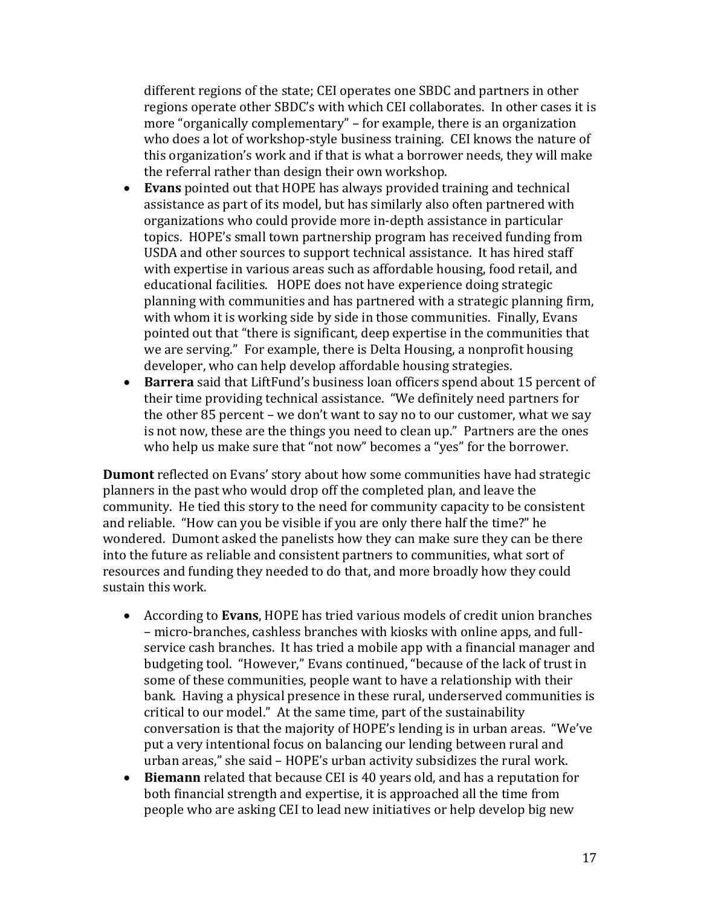different regions of the state; CEI operates one SBDC and partners in other regions operate other SBDC's with which CEI collaborates. In other cases it is more "organically complementary" – for example, there is an organization who does a lot of workshop-style business training. CEI knows the nature of this organization's work and if that is what a borrower needs, they will make the referral rather than design their own workshop.

- **Evans** pointed out that HOPE has always provided training and technical assistance as part of its model, but has similarly also often partnered with organizations who could provide more in-depth assistance in particular topics. HOPE's small town partnership program has received funding from USDA and other sources to support technical assistance. It has hired staff with expertise in various areas such as affordable housing, food retail, and educational facilities. HOPE does not have experience doing strategic planning with communities and has partnered with a strategic planning firm, with whom it is working side by side in those communities. Finally, Evans pointed out that "there is significant, deep expertise in the communities that we are serving." For example, there is Delta Housing, a nonprofit housing developer, who can help develop affordable housing strategies.
- **Barrera** said that LiftFund's business loan officers spend about 15 percent of their time providing technical assistance. "We definitely need partners for the other 85 percent – we don't want to say no to our customer, what we say is not now, these are the things you need to clean up." Partners are the ones who help us make sure that "not now" becomes a "yes" for the borrower.

**Dumont** reflected on Evans' story about how some communities have had strategic planners in the past who would drop off the completed plan, and leave the community. He tied this story to the need for community capacity to be consistent and reliable. "How can you be visible if you are only there half the time?" he wondered. Dumont asked the panelists how they can make sure they can be there into the future as reliable and consistent partners to communities, what sort of resources and funding they needed to do that, and more broadly how they could sustain this work.

- According to **Evans**, HOPE has tried various models of credit union branches – micro-branches, cashless branches with kiosks with online apps, and fullservice cash branches. It has tried a mobile app with a financial manager and budgeting tool. "However," Evans continued, "because of the lack of trust in some of these communities, people want to have a relationship with their bank. Having a physical presence in these rural, underserved communities is critical to our model." At the same time, part of the sustainability conversation is that the majority of HOPE's lending is in urban areas. "We've put a very intentional focus on balancing our lending between rural and urban areas," she said – HOPE's urban activity subsidizes the rural work.
- **Biemann** related that because CEI is 40 years old, and has a reputation for both financial strength and expertise, it is approached all the time from people who are asking CEI to lead new initiatives or help develop big new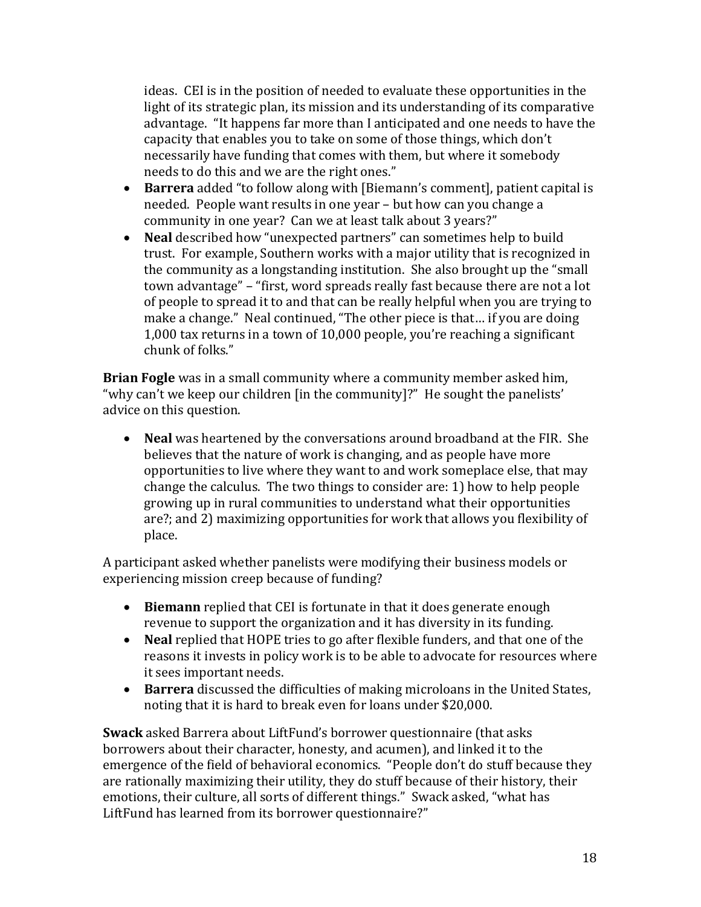ideas. CEI is in the position of needed to evaluate these opportunities in the light of its strategic plan, its mission and its understanding of its comparative advantage. "It happens far more than I anticipated and one needs to have the capacity that enables you to take on some of those things, which don't necessarily have funding that comes with them, but where it somebody needs to do this and we are the right ones."

- **Barrera** added "to follow along with [Biemann's comment], patient capital is needed. People want results in one year – but how can you change a community in one year? Can we at least talk about 3 years?"
- **Neal** described how "unexpected partners" can sometimes help to build trust. For example, Southern works with a major utility that is recognized in the community as a longstanding institution. She also brought up the "small town advantage" – "first, word spreads really fast because there are not a lot of people to spread it to and that can be really helpful when you are trying to make a change." Neal continued, "The other piece is that… if you are doing 1,000 tax returns in a town of 10,000 people, you're reaching a significant chunk of folks."

**Brian Fogle** was in a small community where a community member asked him, "why can't we keep our children [in the community]?" He sought the panelists' advice on this question.

• **Neal** was heartened by the conversations around broadband at the FIR. She believes that the nature of work is changing, and as people have more opportunities to live where they want to and work someplace else, that may change the calculus. The two things to consider are: 1) how to help people growing up in rural communities to understand what their opportunities are?; and 2) maximizing opportunities for work that allows you flexibility of place.

A participant asked whether panelists were modifying their business models or experiencing mission creep because of funding?

- **Biemann** replied that CEI is fortunate in that it does generate enough revenue to support the organization and it has diversity in its funding.
- **Neal** replied that HOPE tries to go after flexible funders, and that one of the reasons it invests in policy work is to be able to advocate for resources where it sees important needs.
- **Barrera** discussed the difficulties of making microloans in the United States, noting that it is hard to break even for loans under \$20,000.

**Swack** asked Barrera about LiftFund's borrower questionnaire (that asks borrowers about their character, honesty, and acumen), and linked it to the emergence of the field of behavioral economics. "People don't do stuff because they are rationally maximizing their utility, they do stuff because of their history, their emotions, their culture, all sorts of different things." Swack asked, "what has LiftFund has learned from its borrower questionnaire?"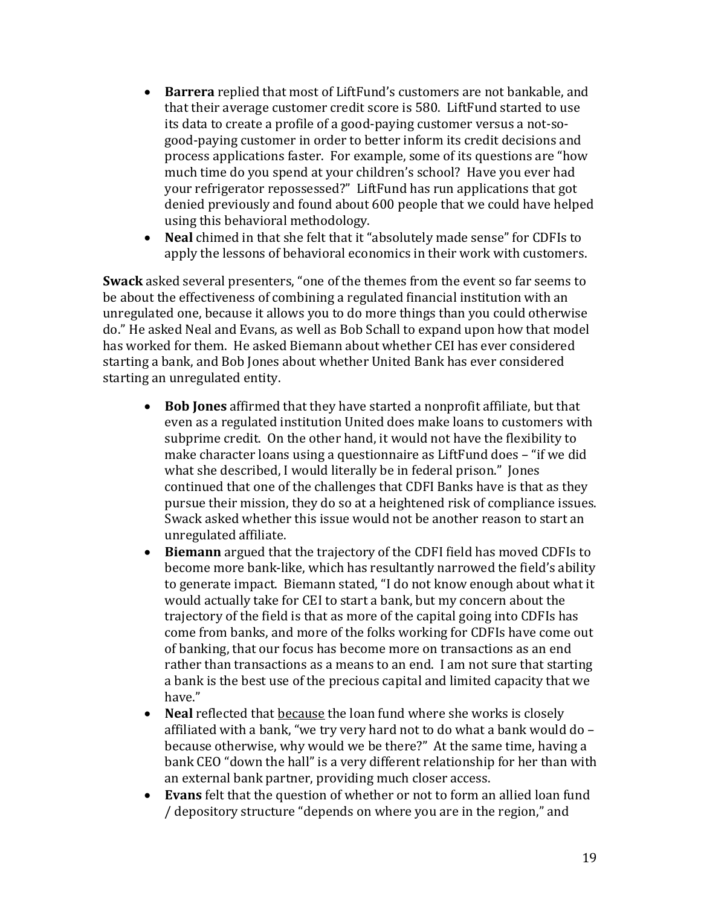- **Barrera** replied that most of LiftFund's customers are not bankable, and that their average customer credit score is 580. LiftFund started to use its data to create a profile of a good-paying customer versus a not-sogood-paying customer in order to better inform its credit decisions and process applications faster. For example, some of its questions are "how much time do you spend at your children's school? Have you ever had your refrigerator repossessed?" LiftFund has run applications that got denied previously and found about 600 people that we could have helped using this behavioral methodology.
- **Neal** chimed in that she felt that it "absolutely made sense" for CDFIs to apply the lessons of behavioral economics in their work with customers.

**Swack** asked several presenters, "one of the themes from the event so far seems to be about the effectiveness of combining a regulated financial institution with an unregulated one, because it allows you to do more things than you could otherwise do." He asked Neal and Evans, as well as Bob Schall to expand upon how that model has worked for them. He asked Biemann about whether CEI has ever considered starting a bank, and Bob Jones about whether United Bank has ever considered starting an unregulated entity.

- **Bob Jones** affirmed that they have started a nonprofit affiliate, but that even as a regulated institution United does make loans to customers with subprime credit. On the other hand, it would not have the flexibility to make character loans using a questionnaire as LiftFund does – "if we did what she described, I would literally be in federal prison." Jones continued that one of the challenges that CDFI Banks have is that as they pursue their mission, they do so at a heightened risk of compliance issues. Swack asked whether this issue would not be another reason to start an unregulated affiliate.
- **Biemann** argued that the trajectory of the CDFI field has moved CDFIs to become more bank-like, which has resultantly narrowed the field's ability to generate impact. Biemann stated, "I do not know enough about what it would actually take for CEI to start a bank, but my concern about the trajectory of the field is that as more of the capital going into CDFIs has come from banks, and more of the folks working for CDFIs have come out of banking, that our focus has become more on transactions as an end rather than transactions as a means to an end. I am not sure that starting a bank is the best use of the precious capital and limited capacity that we have."
- **Neal** reflected that because the loan fund where she works is closely affiliated with a bank, "we try very hard not to do what a bank would do – because otherwise, why would we be there?" At the same time, having a bank CEO "down the hall" is a very different relationship for her than with an external bank partner, providing much closer access.
- **Evans** felt that the question of whether or not to form an allied loan fund / depository structure "depends on where you are in the region," and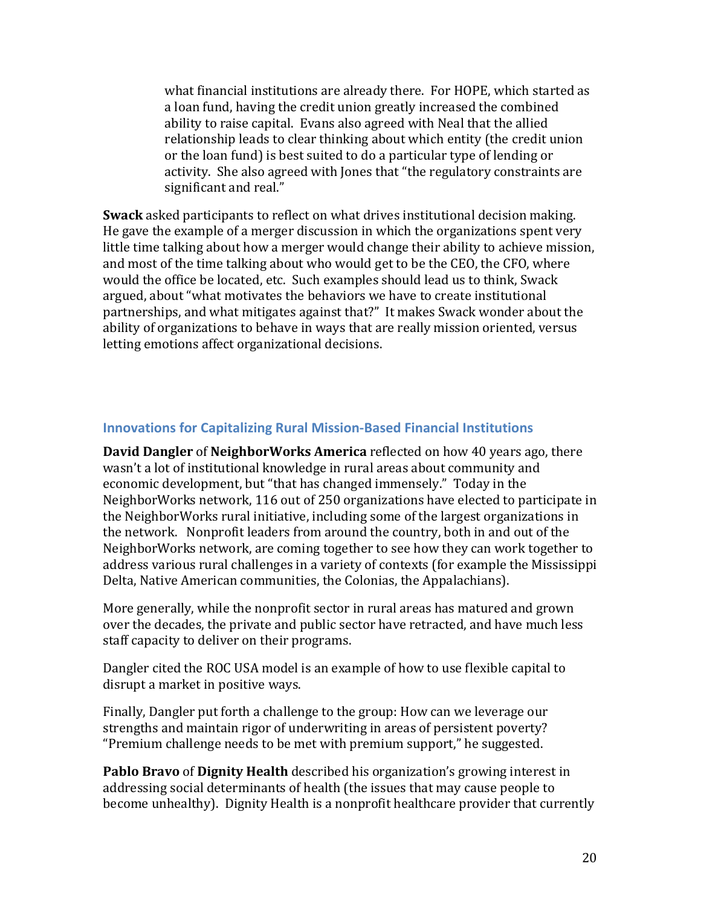what financial institutions are already there. For HOPE, which started as a loan fund, having the credit union greatly increased the combined ability to raise capital. Evans also agreed with Neal that the allied relationship leads to clear thinking about which entity (the credit union or the loan fund) is best suited to do a particular type of lending or activity. She also agreed with Jones that "the regulatory constraints are significant and real."

**Swack** asked participants to reflect on what drives institutional decision making. He gave the example of a merger discussion in which the organizations spent very little time talking about how a merger would change their ability to achieve mission, and most of the time talking about who would get to be the CEO, the CFO, where would the office be located, etc. Such examples should lead us to think, Swack argued, about "what motivates the behaviors we have to create institutional partnerships, and what mitigates against that?" It makes Swack wonder about the ability of organizations to behave in ways that are really mission oriented, versus letting emotions affect organizational decisions.

#### <span id="page-19-0"></span>**Innovations for Capitalizing Rural Mission-Based Financial Institutions**

**David Dangler** of **NeighborWorks America** reflected on how 40 years ago, there wasn't a lot of institutional knowledge in rural areas about community and economic development, but "that has changed immensely." Today in the NeighborWorks network, 116 out of 250 organizations have elected to participate in the NeighborWorks rural initiative, including some of the largest organizations in the network. Nonprofit leaders from around the country, both in and out of the NeighborWorks network, are coming together to see how they can work together to address various rural challenges in a variety of contexts (for example the Mississippi Delta, Native American communities, the Colonias, the Appalachians).

More generally, while the nonprofit sector in rural areas has matured and grown over the decades, the private and public sector have retracted, and have much less staff capacity to deliver on their programs.

Dangler cited the ROC USA model is an example of how to use flexible capital to disrupt a market in positive ways.

Finally, Dangler put forth a challenge to the group: How can we leverage our strengths and maintain rigor of underwriting in areas of persistent poverty? "Premium challenge needs to be met with premium support," he suggested.

**Pablo Bravo** of **Dignity Health** described his organization's growing interest in addressing social determinants of health (the issues that may cause people to become unhealthy). Dignity Health is a nonprofit healthcare provider that currently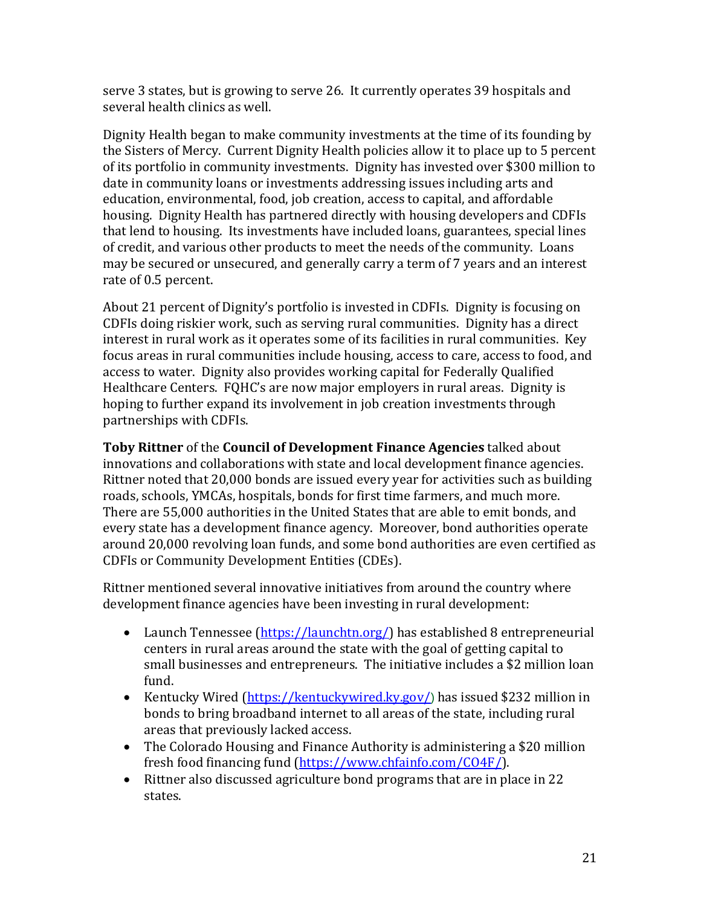serve 3 states, but is growing to serve 26. It currently operates 39 hospitals and several health clinics as well.

Dignity Health began to make community investments at the time of its founding by the Sisters of Mercy. Current Dignity Health policies allow it to place up to 5 percent of its portfolio in community investments. Dignity has invested over \$300 million to date in community loans or investments addressing issues including arts and education, environmental, food, job creation, access to capital, and affordable housing. Dignity Health has partnered directly with housing developers and CDFIs that lend to housing. Its investments have included loans, guarantees, special lines of credit, and various other products to meet the needs of the community. Loans may be secured or unsecured, and generally carry a term of 7 years and an interest rate of 0.5 percent.

About 21 percent of Dignity's portfolio is invested in CDFIs. Dignity is focusing on CDFIs doing riskier work, such as serving rural communities. Dignity has a direct interest in rural work as it operates some of its facilities in rural communities. Key focus areas in rural communities include housing, access to care, access to food, and access to water. Dignity also provides working capital for Federally Qualified Healthcare Centers. FQHC's are now major employers in rural areas. Dignity is hoping to further expand its involvement in job creation investments through partnerships with CDFIs.

**Toby Rittner** of the **Council of Development Finance Agencies** talked about innovations and collaborations with state and local development finance agencies. Rittner noted that 20,000 bonds are issued every year for activities such as building roads, schools, YMCAs, hospitals, bonds for first time farmers, and much more. There are 55,000 authorities in the United States that are able to emit bonds, and every state has a development finance agency. Moreover, bond authorities operate around 20,000 revolving loan funds, and some bond authorities are even certified as CDFIs or Community Development Entities (CDEs).

Rittner mentioned several innovative initiatives from around the country where development finance agencies have been investing in rural development:

- Launch Tennessee [\(https://launchtn.org/\)](https://launchtn.org/) has established 8 entrepreneurial centers in rural areas around the state with the goal of getting capital to small businesses and entrepreneurs. The initiative includes a \$2 million loan fund.
- Kentucky Wired [\(https://kentuckywired.ky.gov/](https://kentuckywired.ky.gov/)) has issued \$232 million in bonds to bring broadband internet to all areas of the state, including rural areas that previously lacked access.
- The Colorado Housing and Finance Authority is administering a \$20 million fresh food financing fund [\(https://www.chfainfo.com/CO4F/\)](https://www.chfainfo.com/CO4F/).
- Rittner also discussed agriculture bond programs that are in place in 22 states.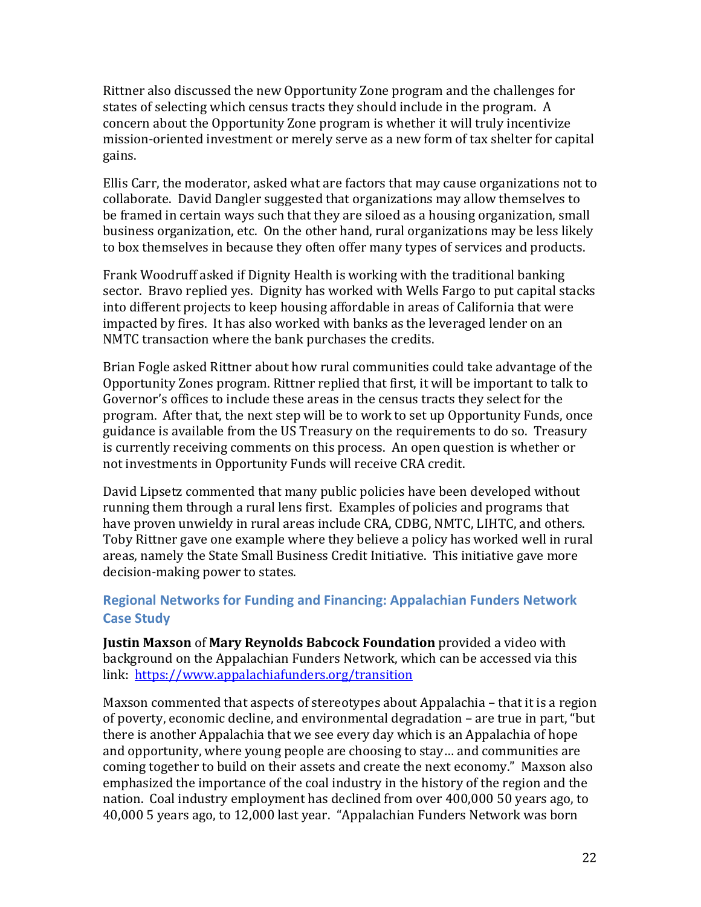Rittner also discussed the new Opportunity Zone program and the challenges for states of selecting which census tracts they should include in the program. A concern about the Opportunity Zone program is whether it will truly incentivize mission-oriented investment or merely serve as a new form of tax shelter for capital gains.

Ellis Carr, the moderator, asked what are factors that may cause organizations not to collaborate. David Dangler suggested that organizations may allow themselves to be framed in certain ways such that they are siloed as a housing organization, small business organization, etc. On the other hand, rural organizations may be less likely to box themselves in because they often offer many types of services and products.

Frank Woodruff asked if Dignity Health is working with the traditional banking sector. Bravo replied yes. Dignity has worked with Wells Fargo to put capital stacks into different projects to keep housing affordable in areas of California that were impacted by fires. It has also worked with banks as the leveraged lender on an NMTC transaction where the bank purchases the credits.

Brian Fogle asked Rittner about how rural communities could take advantage of the Opportunity Zones program. Rittner replied that first, it will be important to talk to Governor's offices to include these areas in the census tracts they select for the program. After that, the next step will be to work to set up Opportunity Funds, once guidance is available from the US Treasury on the requirements to do so. Treasury is currently receiving comments on this process. An open question is whether or not investments in Opportunity Funds will receive CRA credit.

David Lipsetz commented that many public policies have been developed without running them through a rural lens first. Examples of policies and programs that have proven unwieldy in rural areas include CRA, CDBG, NMTC, LIHTC, and others. Toby Rittner gave one example where they believe a policy has worked well in rural areas, namely the State Small Business Credit Initiative. This initiative gave more decision-making power to states.

### <span id="page-21-0"></span>**Regional Networks for Funding and Financing: Appalachian Funders Network Case Study**

**Justin Maxson** of **Mary Reynolds Babcock Foundation** provided a video with background on the Appalachian Funders Network, which can be accessed via this link: [https://www.appalachiafunders.org/transition](https://urldefense.proofpoint.com/v2/url?u=https-3A__www.appalachiafunders.org_transition&d=DwMGaQ&c=c6MrceVCY5m5A_KAUkrdoA&r=te39Zp3Llid45fLbLsjt33VxVATu8e0sURVVrotR9bw&m=nPKgqecy5s_r4JDaJUAdi54rA_SB2PFWouJj0wSzTa0&s=BxDD0D96FIkXMYx0gn2-dNxDMHhsY23e0_YufvK4j2Y&e=)

Maxson commented that aspects of stereotypes about Appalachia – that it is a region of poverty, economic decline, and environmental degradation – are true in part, "but there is another Appalachia that we see every day which is an Appalachia of hope and opportunity, where young people are choosing to stay… and communities are coming together to build on their assets and create the next economy." Maxson also emphasized the importance of the coal industry in the history of the region and the nation. Coal industry employment has declined from over 400,000 50 years ago, to 40,000 5 years ago, to 12,000 last year. "Appalachian Funders Network was born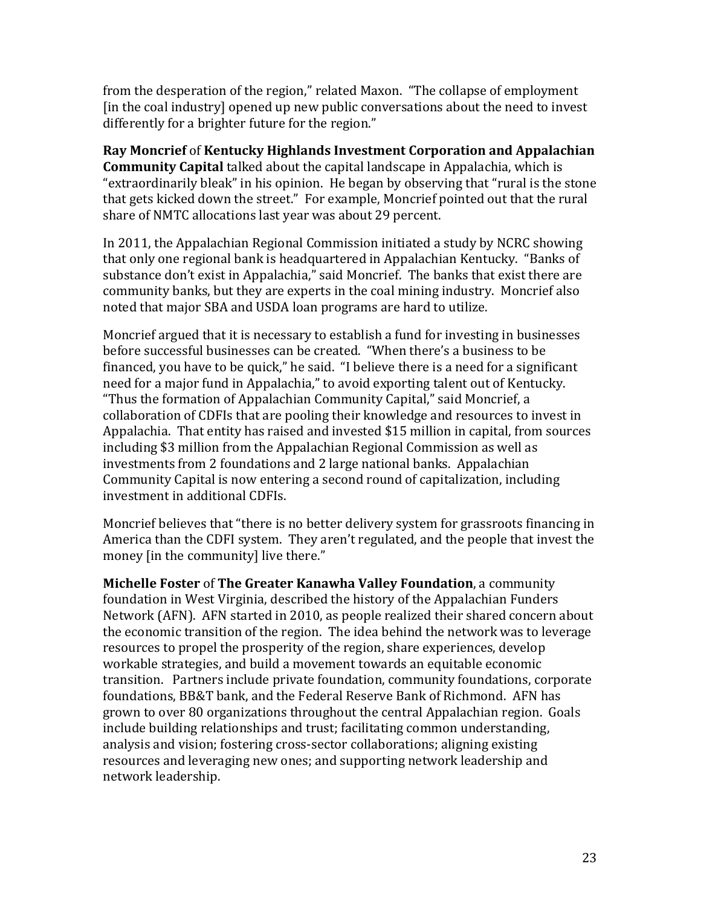from the desperation of the region," related Maxon. "The collapse of employment [in the coal industry] opened up new public conversations about the need to invest differently for a brighter future for the region."

**Ray Moncrief** of **Kentucky Highlands Investment Corporation and Appalachian Community Capital** talked about the capital landscape in Appalachia, which is "extraordinarily bleak" in his opinion. He began by observing that "rural is the stone that gets kicked down the street." For example, Moncrief pointed out that the rural share of NMTC allocations last year was about 29 percent.

In 2011, the Appalachian Regional Commission initiated a study by NCRC showing that only one regional bank is headquartered in Appalachian Kentucky. "Banks of substance don't exist in Appalachia," said Moncrief. The banks that exist there are community banks, but they are experts in the coal mining industry. Moncrief also noted that major SBA and USDA loan programs are hard to utilize.

Moncrief argued that it is necessary to establish a fund for investing in businesses before successful businesses can be created. "When there's a business to be financed, you have to be quick," he said. "I believe there is a need for a significant need for a major fund in Appalachia," to avoid exporting talent out of Kentucky. "Thus the formation of Appalachian Community Capital," said Moncrief, a collaboration of CDFIs that are pooling their knowledge and resources to invest in Appalachia. That entity has raised and invested \$15 million in capital, from sources including \$3 million from the Appalachian Regional Commission as well as investments from 2 foundations and 2 large national banks. Appalachian Community Capital is now entering a second round of capitalization, including investment in additional CDFIs.

Moncrief believes that "there is no better delivery system for grassroots financing in America than the CDFI system. They aren't regulated, and the people that invest the money [in the community] live there."

**Michelle Foster** of **The Greater Kanawha Valley Foundation**, a community foundation in West Virginia, described the history of the Appalachian Funders Network (AFN). AFN started in 2010, as people realized their shared concern about the economic transition of the region. The idea behind the network was to leverage resources to propel the prosperity of the region, share experiences, develop workable strategies, and build a movement towards an equitable economic transition. Partners include private foundation, community foundations, corporate foundations, BB&T bank, and the Federal Reserve Bank of Richmond. AFN has grown to over 80 organizations throughout the central Appalachian region. Goals include building relationships and trust; facilitating common understanding, analysis and vision; fostering cross-sector collaborations; aligning existing resources and leveraging new ones; and supporting network leadership and network leadership.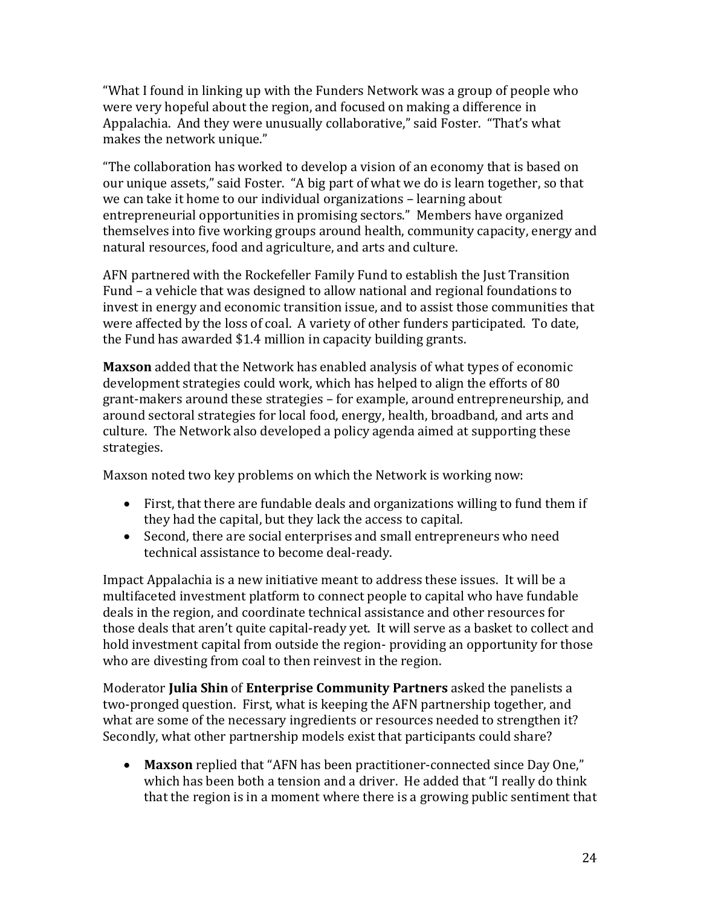"What I found in linking up with the Funders Network was a group of people who were very hopeful about the region, and focused on making a difference in Appalachia. And they were unusually collaborative," said Foster. "That's what makes the network unique."

"The collaboration has worked to develop a vision of an economy that is based on our unique assets," said Foster. "A big part of what we do is learn together, so that we can take it home to our individual organizations – learning about entrepreneurial opportunities in promising sectors." Members have organized themselves into five working groups around health, community capacity, energy and natural resources, food and agriculture, and arts and culture.

AFN partnered with the Rockefeller Family Fund to establish the Just Transition Fund – a vehicle that was designed to allow national and regional foundations to invest in energy and economic transition issue, and to assist those communities that were affected by the loss of coal. A variety of other funders participated. To date, the Fund has awarded \$1.4 million in capacity building grants.

**Maxson** added that the Network has enabled analysis of what types of economic development strategies could work, which has helped to align the efforts of 80 grant-makers around these strategies – for example, around entrepreneurship, and around sectoral strategies for local food, energy, health, broadband, and arts and culture. The Network also developed a policy agenda aimed at supporting these strategies.

Maxson noted two key problems on which the Network is working now:

- First, that there are fundable deals and organizations willing to fund them if they had the capital, but they lack the access to capital.
- Second, there are social enterprises and small entrepreneurs who need technical assistance to become deal-ready.

Impact Appalachia is a new initiative meant to address these issues. It will be a multifaceted investment platform to connect people to capital who have fundable deals in the region, and coordinate technical assistance and other resources for those deals that aren't quite capital-ready yet. It will serve as a basket to collect and hold investment capital from outside the region- providing an opportunity for those who are divesting from coal to then reinvest in the region.

Moderator **Julia Shin** of **Enterprise Community Partners** asked the panelists a two-pronged question. First, what is keeping the AFN partnership together, and what are some of the necessary ingredients or resources needed to strengthen it? Secondly, what other partnership models exist that participants could share?

• **Maxson** replied that "AFN has been practitioner-connected since Day One," which has been both a tension and a driver. He added that "I really do think that the region is in a moment where there is a growing public sentiment that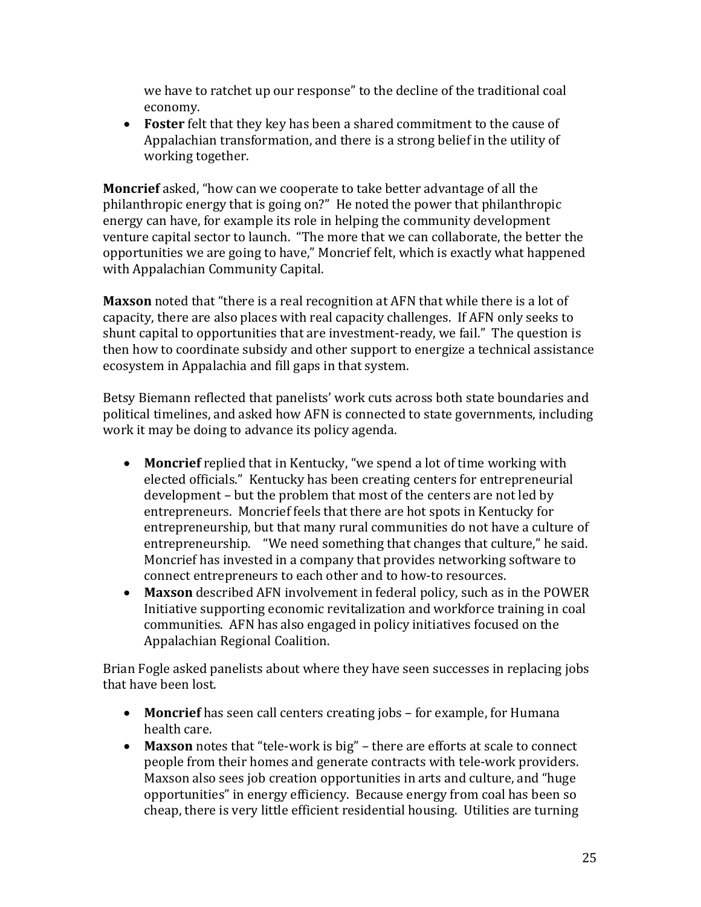we have to ratchet up our response" to the decline of the traditional coal economy.

• **Foster** felt that they key has been a shared commitment to the cause of Appalachian transformation, and there is a strong belief in the utility of working together.

**Moncrief** asked, "how can we cooperate to take better advantage of all the philanthropic energy that is going on?" He noted the power that philanthropic energy can have, for example its role in helping the community development venture capital sector to launch. "The more that we can collaborate, the better the opportunities we are going to have," Moncrief felt, which is exactly what happened with Appalachian Community Capital.

**Maxson** noted that "there is a real recognition at AFN that while there is a lot of capacity, there are also places with real capacity challenges. If AFN only seeks to shunt capital to opportunities that are investment-ready, we fail." The question is then how to coordinate subsidy and other support to energize a technical assistance ecosystem in Appalachia and fill gaps in that system.

Betsy Biemann reflected that panelists' work cuts across both state boundaries and political timelines, and asked how AFN is connected to state governments, including work it may be doing to advance its policy agenda.

- **Moncrief** replied that in Kentucky, "we spend a lot of time working with elected officials." Kentucky has been creating centers for entrepreneurial development – but the problem that most of the centers are not led by entrepreneurs. Moncrief feels that there are hot spots in Kentucky for entrepreneurship, but that many rural communities do not have a culture of entrepreneurship. "We need something that changes that culture," he said. Moncrief has invested in a company that provides networking software to connect entrepreneurs to each other and to how-to resources.
- **Maxson** described AFN involvement in federal policy, such as in the POWER Initiative supporting economic revitalization and workforce training in coal communities. AFN has also engaged in policy initiatives focused on the Appalachian Regional Coalition.

Brian Fogle asked panelists about where they have seen successes in replacing jobs that have been lost.

- **Moncrief** has seen call centers creating jobs for example, for Humana health care.
- **Maxson** notes that "tele-work is big" there are efforts at scale to connect people from their homes and generate contracts with tele-work providers. Maxson also sees job creation opportunities in arts and culture, and "huge opportunities" in energy efficiency. Because energy from coal has been so cheap, there is very little efficient residential housing. Utilities are turning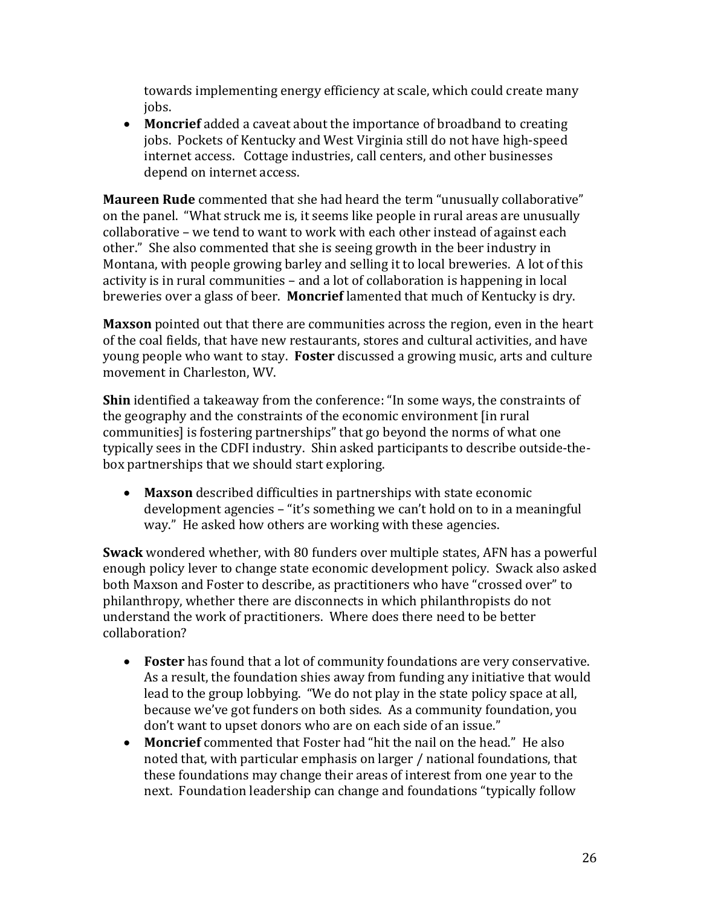towards implementing energy efficiency at scale, which could create many jobs.

• **Moncrief** added a caveat about the importance of broadband to creating jobs. Pockets of Kentucky and West Virginia still do not have high-speed internet access. Cottage industries, call centers, and other businesses depend on internet access.

**Maureen Rude** commented that she had heard the term "unusually collaborative" on the panel. "What struck me is, it seems like people in rural areas are unusually collaborative – we tend to want to work with each other instead of against each other." She also commented that she is seeing growth in the beer industry in Montana, with people growing barley and selling it to local breweries. A lot of this activity is in rural communities – and a lot of collaboration is happening in local breweries over a glass of beer. **Moncrief** lamented that much of Kentucky is dry.

**Maxson** pointed out that there are communities across the region, even in the heart of the coal fields, that have new restaurants, stores and cultural activities, and have young people who want to stay. **Foster** discussed a growing music, arts and culture movement in Charleston, WV.

**Shin** identified a takeaway from the conference: "In some ways, the constraints of the geography and the constraints of the economic environment [in rural communities] is fostering partnerships" that go beyond the norms of what one typically sees in the CDFI industry. Shin asked participants to describe outside-thebox partnerships that we should start exploring.

• **Maxson** described difficulties in partnerships with state economic development agencies – "it's something we can't hold on to in a meaningful way." He asked how others are working with these agencies.

**Swack** wondered whether, with 80 funders over multiple states, AFN has a powerful enough policy lever to change state economic development policy. Swack also asked both Maxson and Foster to describe, as practitioners who have "crossed over" to philanthropy, whether there are disconnects in which philanthropists do not understand the work of practitioners. Where does there need to be better collaboration?

- **Foster** has found that a lot of community foundations are very conservative. As a result, the foundation shies away from funding any initiative that would lead to the group lobbying. "We do not play in the state policy space at all, because we've got funders on both sides. As a community foundation, you don't want to upset donors who are on each side of an issue."
- **Moncrief** commented that Foster had "hit the nail on the head." He also noted that, with particular emphasis on larger / national foundations, that these foundations may change their areas of interest from one year to the next. Foundation leadership can change and foundations "typically follow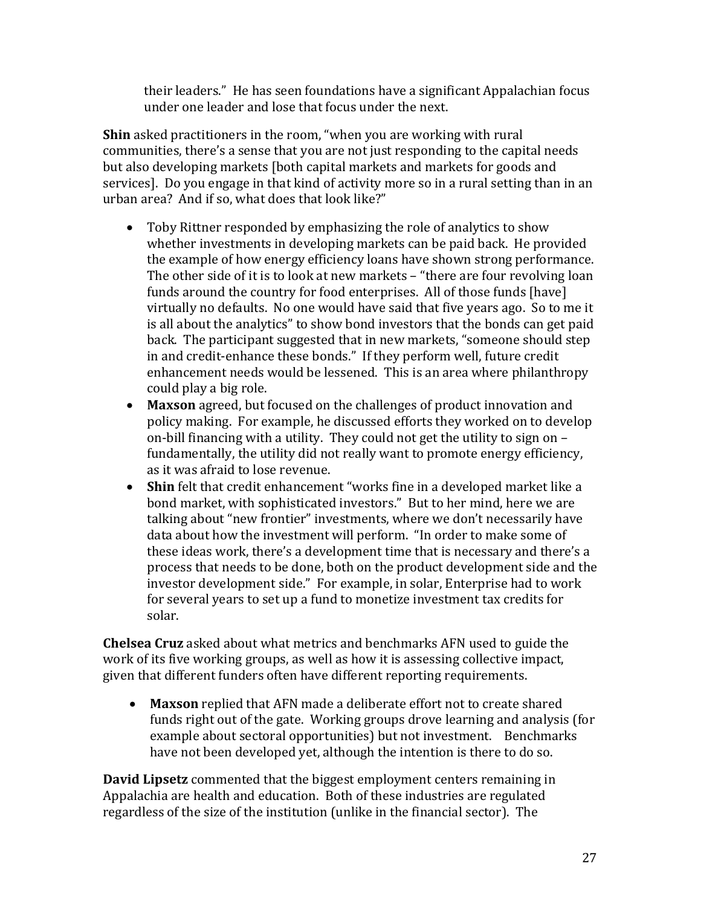their leaders." He has seen foundations have a significant Appalachian focus under one leader and lose that focus under the next.

**Shin** asked practitioners in the room, "when you are working with rural communities, there's a sense that you are not just responding to the capital needs but also developing markets [both capital markets and markets for goods and services]. Do you engage in that kind of activity more so in a rural setting than in an urban area? And if so, what does that look like?"

- Toby Rittner responded by emphasizing the role of analytics to show whether investments in developing markets can be paid back. He provided the example of how energy efficiency loans have shown strong performance. The other side of it is to look at new markets – "there are four revolving loan funds around the country for food enterprises. All of those funds [have] virtually no defaults. No one would have said that five years ago. So to me it is all about the analytics" to show bond investors that the bonds can get paid back. The participant suggested that in new markets, "someone should step in and credit-enhance these bonds." If they perform well, future credit enhancement needs would be lessened. This is an area where philanthropy could play a big role.
- **Maxson** agreed, but focused on the challenges of product innovation and policy making. For example, he discussed efforts they worked on to develop on-bill financing with a utility. They could not get the utility to sign on – fundamentally, the utility did not really want to promote energy efficiency, as it was afraid to lose revenue.
- **Shin** felt that credit enhancement "works fine in a developed market like a bond market, with sophisticated investors." But to her mind, here we are talking about "new frontier" investments, where we don't necessarily have data about how the investment will perform. "In order to make some of these ideas work, there's a development time that is necessary and there's a process that needs to be done, both on the product development side and the investor development side." For example, in solar, Enterprise had to work for several years to set up a fund to monetize investment tax credits for solar.

**Chelsea Cruz** asked about what metrics and benchmarks AFN used to guide the work of its five working groups, as well as how it is assessing collective impact, given that different funders often have different reporting requirements.

• **Maxson** replied that AFN made a deliberate effort not to create shared funds right out of the gate. Working groups drove learning and analysis (for example about sectoral opportunities) but not investment. Benchmarks have not been developed yet, although the intention is there to do so.

**David Lipsetz** commented that the biggest employment centers remaining in Appalachia are health and education. Both of these industries are regulated regardless of the size of the institution (unlike in the financial sector). The